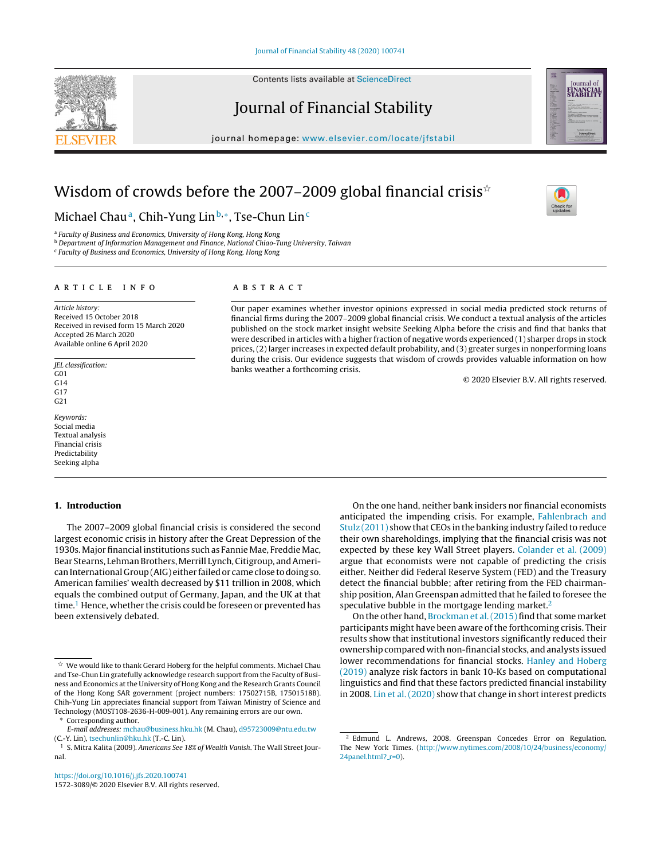Contents lists available at [ScienceDirect](http://www.sciencedirect.com/science/journal/15723089)

# Journal of Financial Stability

journal homepage: [www.elsevier.com/locate/jfstabil](http://www.elsevier.com/locate/jfstabil)

## Wisdom of crowds before the 2007–2009 global financial crisis $^{\star}$

Michael Chau<sup>a</sup>, Chih-Yung Lin<sup>b,∗</sup>, Tse-Chun Lin<sup>c</sup>

a Faculty of Business and Economics, University of Hong Kong, Hong Kong

<sup>b</sup> Department of Information Management and Finance, National Chiao-Tung University, Taiwan

<sup>c</sup> Faculty of Business and Economics, University of Hong Kong, Hong Kong

#### ARTICLE INFO

Article history: Received 15 October 2018 Received in revised form 15 March 2020 Accepted 26 March 2020 Available online 6 April 2020

JEL classification:  $G<sub>01</sub>$ G14 G17 G21

Keywords: Social media Textual analysis Financial crisis Predictability Seeking alpha

#### **1. Introduction**

The 2007–2009 global financial crisis is considered the second largest economic crisis in history after the Great Depression of the 1930s. Major financial institutions such as Fannie Mae, Freddie Mac, Bear Stearns, Lehman Brothers, Merrill Lynch, Citigroup, and AmericanInternational Group(AIG) either failedor came close todoing so. American families' wealth decreased by \$11 trillion in 2008, which equals the combined output of Germany, Japan, and the UK at that time.<sup>1</sup> Hence, whether the crisis could be foreseen or prevented has been extensively debated.

Corresponding author.

## a b s t r a c t

Our paper examines whether investor opinions expressed in social media predicted stock returns of financial firms during the 2007–2009 global financial crisis. We conduct a textual analysis of the articles published on the stock market insight website Seeking Alpha before the crisis and find that banks that were described in articles with a higher fraction of negative words experienced (1) sharper drops in stock prices, (2) larger increases in expected default probability, and (3) greater surges in nonperforming loans during the crisis. Our evidence suggests that wisdom of crowds provides valuable information on how banks weather a forthcoming crisis.

© 2020 Elsevier B.V. All rights reserved.

On the one hand, neither bank insiders nor financial economists anticipated the impending crisis. For example, [Fahlenbrach](#page-12-0) [and](#page-12-0) [Stulz](#page-12-0) [\(2011\)](#page-12-0) show that CEOs in the banking industry failed to reduce their own shareholdings, implying that the financial crisis was not expected by these key Wall Street players. [Colander](#page-12-0) et [al.](#page-12-0) [\(2009\)](#page-12-0) argue that economists were not capable of predicting the crisis either. Neither did Federal Reserve System (FED) and the Treasury detect the financial bubble; after retiring from the FED chairmanship position, Alan Greenspan admitted that he failed to foresee the speculative bubble in the mortgage lending market.<sup>2</sup>

On the other hand, [Brockman](#page-12-0) et [al.\(2015\)](#page-12-0) find that some market participants might have been aware of the forthcoming crisis. Their results show that institutional investors significantly reduced their ownershipcompared withnon-financial stocks, and analysts issued lower recommendations for financial stocks. [Hanley](#page-12-0) [and](#page-12-0) [Hoberg](#page-12-0) [\(2019\)](#page-12-0) analyze risk factors in bank 10-Ks based on computational linguistics and find that these factors predicted financial instability in 2008. [Lin](#page-12-0) et [al.](#page-12-0) [\(2020\)](#page-12-0) show that change in short interest predicts







 $^\star \,$  We would like to thank Gerard Hoberg for the helpful comments. Michael Chau and Tse-Chun Lin gratefully acknowledge research support from the Faculty of Business and Economics at the University of Hong Kong and the Research Grants Council of the Hong Kong SAR government (project numbers: 17502715B, 17501518B). Chih-Yung Lin appreciates financial support from Taiwan Ministry of Science and Technology (MOST108-2636-H-009-001). Any remaining errors are our own.

E-mail addresses: [mchau@business.hku.hk](mailto:mchau@business.hku.hk) (M. Chau), [d95723009@ntu.edu.tw](mailto:d95723009@ntu.edu.tw) (C.-Y. Lin), [tsechunlin@hku.hk](mailto:tsechunlin@hku.hk) (T.-C. Lin).

<sup>&</sup>lt;sup>1</sup> S. Mitra Kalita (2009). Americans See 18% of Wealth Vanish. The Wall Street Journal.

<sup>2</sup> Edmund L. Andrews, 2008. Greenspan Concedes Error on Regulation. The New York Times. [\(http://www.nytimes.com/2008/10/24/business/economy/](http://www.nytimes.com/2008/10/24/business/economy/24panel.html?_r=0)  $24$ panel.html?\_[r=0](http://www.nytimes.com/2008/10/24/business/economy/24panel.html?_r=0)).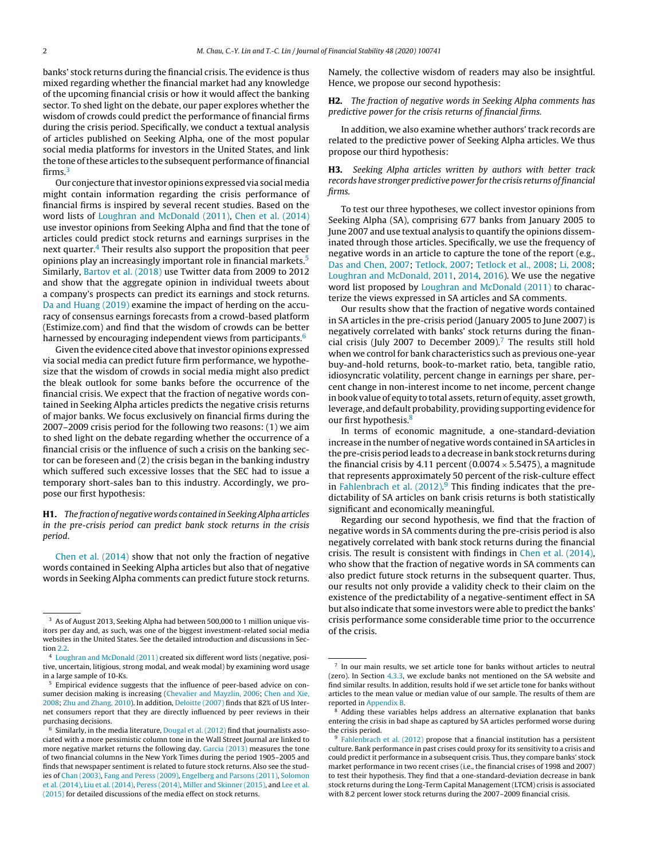banks' stock returns during the financial crisis. The evidence is thus mixed regarding whether the financial market had any knowledge of the upcoming financial crisis or how it would affect the banking sector. To shed light on the debate, our paper explores whether the wisdom of crowds could predict the performance of financial firms during the crisis period. Specifically, we conduct a textual analysis of articles published on Seeking Alpha, one of the most popular social media platforms for investors in the United States, and link the tone of these articles to the subsequent performance of financial firms.<sup>3</sup>

Our conjecture that investor opinions expressed via social media might contain information regarding the crisis performance of financial firms is inspired by several recent studies. Based on the word lists of [Loughran](#page-12-0) [and](#page-12-0) [McDonald](#page-12-0) [\(2011\),](#page-12-0) [Chen](#page-12-0) et [al.](#page-12-0) [\(2014\)](#page-12-0) use investor opinions from Seeking Alpha and find that the tone of articles could predict stock returns and earnings surprises in the next quarter. $4$  Their results also support the proposition that peer opinions play an increasingly important role in financial markets.5 Similarly, [Bartov](#page-12-0) et [al.](#page-12-0) [\(2018\)](#page-12-0) use Twitter data from 2009 to 2012 and show that the aggregate opinion in individual tweets about a company's prospects can predict its earnings and stock returns. [Da](#page-12-0) [and](#page-12-0) [Huang](#page-12-0) [\(2019\)](#page-12-0) examine the impact of herding on the accuracy of consensus earnings forecasts from a crowd-based platform (Estimize.com) and find that the wisdom of crowds can be better harnessed by encouraging independent views from participants.<sup>6</sup>

Given the evidence cited above that investor opinions expressed via social media can predict future firm performance, we hypothesize that the wisdom of crowds in social media might also predict the bleak outlook for some banks before the occurrence of the financial crisis. We expect that the fraction of negative words contained in Seeking Alpha articles predicts the negative crisis returns of major banks. We focus exclusively on financial firms during the 2007–2009 crisis period for the following two reasons: (1) we aim to shed light on the debate regarding whether the occurrence of a financial crisis or the influence of such a crisis on the banking sector can be foreseen and (2) the crisis began in the banking industry which suffered such excessive losses that the SEC had to issue a temporary short-sales ban to this industry. Accordingly, we propose our first hypothesis:

**H1.** The fraction of negative words contained in SeekingAlpha articles in the pre-crisis period can predict bank stock returns in the crisis period.

[Chen](#page-12-0) et [al.](#page-12-0) [\(2014\)](#page-12-0) show that not only the fraction of negative words contained in Seeking Alpha articles but also that of negative words in Seeking Alpha comments can predict future stock returns. Namely, the collective wisdom of readers may also be insightful. Hence, we propose our second hypothesis:

**H2.** The fraction of negative words in Seeking Alpha comments has predictive power for the crisis returns of financial firms.

In addition, we also examine whether authors' track records are related to the predictive power of Seeking Alpha articles. We thus propose our third hypothesis:

## **H3.** Seeking Alpha articles written by authors with better track records have stronger predictive power for the crisis returns of financial firms.

To test our three hypotheses, we collect investor opinions from Seeking Alpha (SA), comprising 677 banks from January 2005 to June 2007 and use textual analysis to quantify the opinions disseminated through those articles. Specifically, we use the frequency of negative words in an article to capture the tone of the report (e.g., [Das](#page-12-0) [and](#page-12-0) [Chen,](#page-12-0) [2007;](#page-12-0) [Tetlock,](#page-12-0) [2007;](#page-12-0) [Tetlock](#page-12-0) et [al.,](#page-12-0) [2008;](#page-12-0) [Li,](#page-12-0) [2008;](#page-12-0) [Loughran](#page-12-0) [and](#page-12-0) [McDonald,](#page-12-0) [2011,](#page-12-0) [2014,](#page-12-0) [2016\).](#page-12-0) We use the negative word list proposed by [Loughran](#page-12-0) [and](#page-12-0) [McDonald](#page-12-0) [\(2011\)](#page-12-0) to characterize the views expressed in SA articles and SA comments.

Our results show that the fraction of negative words contained in SA articles in the pre-crisis period (January 2005 to June 2007) is negatively correlated with banks' stock returns during the financial crisis (July 2007 to December 2009).<sup>7</sup> The results still hold when we control for bank characteristics such as previous one-year buy-and-hold returns, book-to-market ratio, beta, tangible ratio, idiosyncratic volatility, percent change in earnings per share, percent change in non-interest income to net income, percent change in book value of equity to total assets, return of equity, asset growth, leverage, and default probability, providing supporting evidence for our first hypothesis.<sup>8</sup>

In terms of economic magnitude, a one-standard-deviation increase in the number of negative words contained in SA articles in the pre-crisis period leads to a decrease in bank stock returns during the financial crisis by 4.11 percent (0.0074  $\times$  5.5475), a magnitude that represents approximately 50 percent of the risk-culture effect in [Fahlenbrach](#page-12-0) et [al.](#page-12-0) [\(2012\).](#page-12-0)<sup>9</sup> This finding indicates that the predictability of SA articles on bank crisis returns is both statistically significant and economically meaningful.

Regarding our second hypothesis, we find that the fraction of negative words in SA comments during the pre-crisis period is also negatively correlated with bank stock returns during the financial crisis. The result is consistent with findings in [Chen](#page-12-0) et [al.](#page-12-0) [\(2014\),](#page-12-0) who show that the fraction of negative words in SA comments can also predict future stock returns in the subsequent quarter. Thus, our results not only provide a validity check to their claim on the existence of the predictability of a negative-sentiment effect in SA but also indicate that some investors were able to predict the banks' crisis performance some considerable time prior to the occurrence of the crisis.

<sup>&</sup>lt;sup>3</sup> As of August 2013, Seeking Alpha had between 500,000 to 1 million unique visitors per day and, as such, was one of the biggest investment-related social media websites in the United States. See the detailed introduction and discussions in Section [2.2.](#page-3-0)

<sup>4</sup> [Loughran](#page-12-0) [and](#page-12-0) [McDonald](#page-12-0) [\(2011\)](#page-12-0) created six different word lists (negative, positive, uncertain, litigious, strong modal, and weak modal) by examining word usage in a large sample of 10-Ks.

<sup>5</sup> Empirical evidence suggests that the influence of peer-based advice on consumer decision making is increasing ([Chevalier](#page-12-0) [and](#page-12-0) [Mayzlin,](#page-12-0) [2006;](#page-12-0) [Chen](#page-12-0) [and](#page-12-0) [Xie,](#page-12-0) [2008;](#page-12-0) [Zhu](#page-12-0) [and](#page-12-0) [Zhang,](#page-12-0) [2010\).](#page-12-0) In addition, [Deloitte](#page-12-0) [\(2007\)](#page-12-0) finds that 82% of US Internet consumers report that they are directly influenced by peer reviews in their purchasing decisions.

 $6$  Similarly, in the media literature, [Dougal](#page-12-0) et [al.](#page-12-0) [\(2012\)](#page-12-0) find that journalists associated with a more pessimistic column tone in the Wall Street Journal are linked to more negative market returns the following day. [Garcia](#page-12-0) [\(2013\)](#page-12-0) measures the tone of two financial columns in the New York Times during the period 1905–2005 and finds that newspaper sentiment is related to future stock returns. Also see the studies of [Chan](#page-12-0) [\(2003\),](#page-12-0) [Fang](#page-12-0) [and](#page-12-0) [Peress](#page-12-0) [\(2009\),](#page-12-0) [Engelberg](#page-12-0) [and](#page-12-0) [Parsons](#page-12-0) [\(2011\),](#page-12-0) [Solomon](#page-12-0) et [al.](#page-12-0) [\(2014\),](#page-12-0) [Liu](#page-12-0) et [al.](#page-12-0) [\(2014\),](#page-12-0) [Peress](#page-12-0) [\(2014\),](#page-12-0) [Miller](#page-12-0) [and](#page-12-0) [Skinner](#page-12-0) [\(2015\),](#page-12-0) and [Lee](#page-12-0) et [al.](#page-12-0) [\(2015\)](#page-12-0) for detailed discussions of the media effect on stock returns.

 $7$  In our main results, we set article tone for banks without articles to neutral (zero). In Section [4.3.3,](#page-8-0) we exclude banks not mentioned on the SA website and find similar results. In addition, results hold if we set article tone for banks without articles to the mean value or median value of our sample. The results of them are reported in [Appendix](#page-11-0) [B.](#page-11-0)

<sup>8</sup> Adding these variables helps address an alternative explanation that banks entering the crisis in bad shape as captured by SA articles performed worse during the crisis period.

 $9$  [Fahlenbrach](#page-12-0) et [al.](#page-12-0) [\(2012\)](#page-12-0) propose that a financial institution has a persistent culture. Bank performance in past crises could proxy for its sensitivity to a crisis and could predict it performance in a subsequent crisis. Thus, they compare banks' stock market performance in two recent crises (i.e., the financial crises of 1998 and 2007) to test their hypothesis. They find that a one-standard-deviation decrease in bank stock returns during the Long-Term Capital Management (LTCM) crisis is associated with 8.2 percent lower stock returns during the 2007–2009 financial crisis.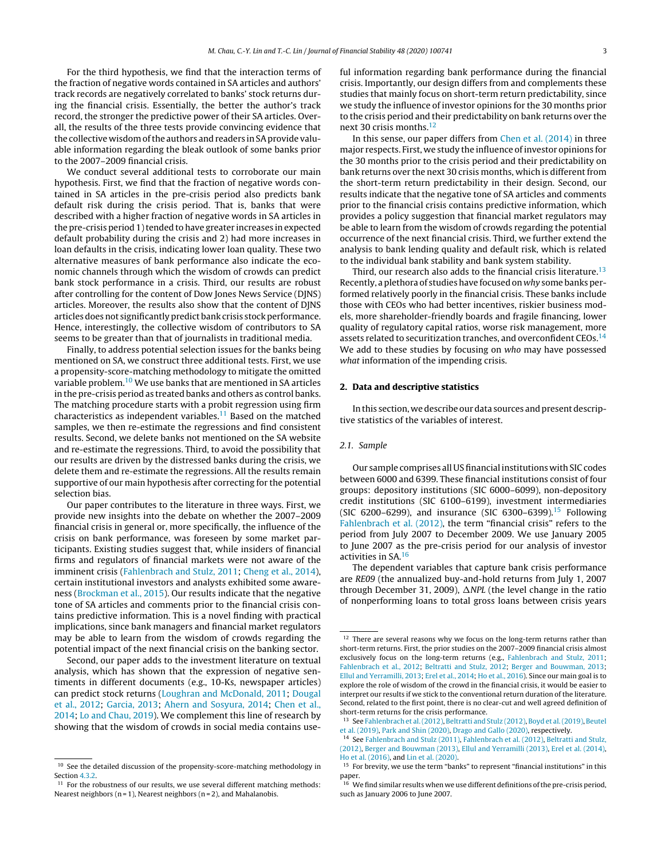For the third hypothesis, we find that the interaction terms of the fraction of negative words contained in SA articles and authors' track records are negatively correlated to banks' stock returns during the financial crisis. Essentially, the better the author's track record, the stronger the predictive power of their SA articles. Overall, the results of the three tests provide convincing evidence that the collective wisdomofthe authors and readers in SAprovide valuable information regarding the bleak outlook of some banks prior to the 2007–2009 financial crisis.

We conduct several additional tests to corroborate our main hypothesis. First, we find that the fraction of negative words contained in SA articles in the pre-crisis period also predicts bank default risk during the crisis period. That is, banks that were described with a higher fraction of negative words in SA articles in the pre-crisis period 1) tended to have greater increases in expected default probability during the crisis and 2) had more increases in loan defaults in the crisis, indicating lower loan quality. These two alternative measures of bank performance also indicate the economic channels through which the wisdom of crowds can predict bank stock performance in a crisis. Third, our results are robust after controlling for the content of Dow Jones News Service (DJNS) articles. Moreover, the results also show that the content of DJNS articles doesnot significantly predict bank crisis stock performance. Hence, interestingly, the collective wisdom of contributors to SA seems to be greater than that of journalists in traditional media.

Finally, to address potential selection issues for the banks being mentioned on SA, we construct three additional tests. First, we use a propensity-score-matching methodology to mitigate the omitted variable problem.10 We use banks that are mentioned in SA articles in the pre-crisis period as treated banks and others as control banks. The matching procedure starts with a probit regression using firm characteristics as independent variables.<sup>11</sup> Based on the matched samples, we then re-estimate the regressions and find consistent results. Second, we delete banks not mentioned on the SA website and re-estimate the regressions. Third, to avoid the possibility that our results are driven by the distressed banks during the crisis, we delete them and re-estimate the regressions. All the results remain supportive of our main hypothesis after correcting for the potential selection bias.

Our paper contributes to the literature in three ways. First, we provide new insights into the debate on whether the 2007–2009 financial crisis in general or, more specifically, the influence of the crisis on bank performance, was foreseen by some market participants. Existing studies suggest that, while insiders of financial firms and regulators of financial markets were not aware of the imminent crisis ([Fahlenbrach](#page-12-0) [and](#page-12-0) [Stulz,](#page-12-0) [2011;](#page-12-0) [Cheng](#page-12-0) et [al.,](#page-12-0) [2014\),](#page-12-0) certain institutional investors and analysts exhibited some awareness ([Brockman](#page-12-0) et [al.,](#page-12-0) [2015\).](#page-12-0) Our results indicate that the negative tone of SA articles and comments prior to the financial crisis contains predictive information. This is a novel finding with practical implications, since bank managers and financial market regulators may be able to learn from the wisdom of crowds regarding the potential impact of the next financial crisis on the banking sector.

Second, our paper adds to the investment literature on textual analysis, which has shown that the expression of negative sentiments in different documents (e.g., 10-Ks, newspaper articles) can predict stock returns [\(Loughran](#page-12-0) [and](#page-12-0) [McDonald,](#page-12-0) [2011;](#page-12-0) [Dougal](#page-12-0) et [al.,](#page-12-0) [2012;](#page-12-0) [Garcia,](#page-12-0) [2013;](#page-12-0) [Ahern](#page-12-0) [and](#page-12-0) [Sosyura,](#page-12-0) [2014;](#page-12-0) [Chen](#page-12-0) et [al.,](#page-12-0) [2014;](#page-12-0) [Lo](#page-12-0) [and](#page-12-0) [Chau,](#page-12-0) [2019\).](#page-12-0) We complement this line of research by showing that the wisdom of crowds in social media contains useful information regarding bank performance during the financial crisis. Importantly, our design differs from and complements these studies that mainly focus on short-term return predictability, since we study the influence of investor opinions for the 30 months prior to the crisis period and their predictability on bank returns over the next 30 crisis months.<sup>12</sup>

In this sense, our paper differs from [Chen](#page-12-0) et [al.](#page-12-0) [\(2014\)](#page-12-0) in three major respects. First, we study the influence ofinvestor opinions for the 30 months prior to the crisis period and their predictability on bank returns over the next 30 crisis months, which is different from the short-term return predictability in their design. Second, our results indicate that the negative tone of SA articles and comments prior to the financial crisis contains predictive information, which provides a policy suggestion that financial market regulators may be able to learn from the wisdom of crowds regarding the potential occurrence of the next financial crisis. Third, we further extend the analysis to bank lending quality and default risk, which is related to the individual bank stability and bank system stability.

Third, our research also adds to the financial crisis literature.<sup>13</sup> Recently, a plethora of studies have focused on why some banks performed relatively poorly in the financial crisis. These banks include those with CEOs who had better incentives, riskier business models, more shareholder-friendly boards and fragile financing, lower quality of regulatory capital ratios, worse risk management, more assets related to securitization tranches, and overconfident CEOs.<sup>14</sup> We add to these studies by focusing on who may have possessed what information of the impending crisis.

#### **2. Data and descriptive statistics**

In this section, we describe our data sources and present descriptive statistics of the variables of interest.

#### 2.1. Sample

Our sample comprises all USfinancial institutions with SIC codes between 6000 and 6399. These financial institutions consist of four groups: depository institutions (SIC 6000–6099), non-depository credit institutions (SIC 6100–6199), investment intermediaries (SIC 6200-6299), and insurance (SIC 6300-6399).<sup>15</sup> Following [Fahlenbrach](#page-12-0) et [al.](#page-12-0) [\(2012\),](#page-12-0) the term "financial crisis" refers to the period from July 2007 to December 2009. We use January 2005 to June 2007 as the pre-crisis period for our analysis of investor activities in SA.16

The dependent variables that capture bank crisis performance are RE09 (the annualized buy-and-hold returns from July 1, 2007 through December 31, 2009),  $\Delta$ NPL (the level change in the ratio of nonperforming loans to total gross loans between crisis years

<sup>&</sup>lt;sup>10</sup> See the detailed discussion of the propensity-score-matching methodology in Section [4.3.2.](#page-8-0)

 $11$  For the robustness of our results, we use several different matching methods: Nearest neighbors ( $n = 1$ ), Nearest neighbors ( $n = 2$ ), and Mahalanobis.

 $^{12}$  There are several reasons why we focus on the long-term returns rather than short-term returns. First, the prior studies on the 2007–2009 financial crisis almost exclusively focus on the long-term returns (e.g., [Fahlenbrach](#page-12-0) [and](#page-12-0) [Stulz,](#page-12-0) [2011;](#page-12-0) [Fahlenbrach](#page-12-0) et [al.,](#page-12-0) [2012;](#page-12-0) [Beltratti](#page-12-0) [and](#page-12-0) [Stulz,](#page-12-0) [2012;](#page-12-0) [Berger](#page-12-0) [and](#page-12-0) [Bouwman,](#page-12-0) [2013;](#page-12-0) [Ellul](#page-12-0) [and](#page-12-0) [Yerramilli,](#page-12-0) [2013;](#page-12-0) [Erel](#page-12-0) et [al.,](#page-12-0) [2014;](#page-12-0) [Ho](#page-12-0) et [al.,](#page-12-0) [2016\).](#page-12-0) Since our main goal is to explore the role of wisdom of the crowd in the financial crisis, it would be easier to interpret our results if we stick to the conventional return duration of the literature. Second, related to the first point, there is no clear-cut and well agreed definition of short-term returns for the crisis performance.

See [Fahlenbrach](#page-12-0) et al. (2012), [Beltratti](#page-12-0) [and](#page-12-0) [Stulz](#page-12-0) [\(2012\),](#page-12-0) [Boyd](#page-12-0) et al. (2019), [Beutel](#page-12-0) et [al.](#page-12-0) [\(2019\),](#page-12-0) [Park](#page-12-0) [and](#page-12-0) [Shin](#page-12-0) [\(2020\),](#page-12-0) [Drago](#page-12-0) [and](#page-12-0) [Gallo](#page-12-0) [\(2020\),](#page-12-0) respectively.

<sup>14</sup> See [Fahlenbrach](#page-12-0) [and](#page-12-0) [Stulz](#page-12-0) [\(2011\),](#page-12-0) [Fahlenbrach](#page-12-0) et [al.](#page-12-0) [\(2012\),](#page-12-0) [Beltratti](#page-12-0) [and](#page-12-0) [Stulz,](#page-12-0) [\(2012\),](#page-12-0) [Berger](#page-12-0) [and](#page-12-0) [Bouwman](#page-12-0) [\(2013\),](#page-12-0) [Ellul](#page-12-0) [and](#page-12-0) [Yerramilli](#page-12-0) [\(2013\),](#page-12-0) [Erel](#page-12-0) et [al.](#page-12-0) [\(2014\),](#page-12-0) [Ho](#page-12-0) et [al.](#page-12-0) [\(2016\),](#page-12-0) and [Lin](#page-12-0) et [al.](#page-12-0) [\(2020\).](#page-12-0)

<sup>&</sup>lt;sup>15</sup> For brevity, we use the term "banks" to represent "financial institutions" in this paper.<br><sup>16</sup> We find similar results when we use different definitions of the pre-crisis period,

such as January 2006 to June 2007.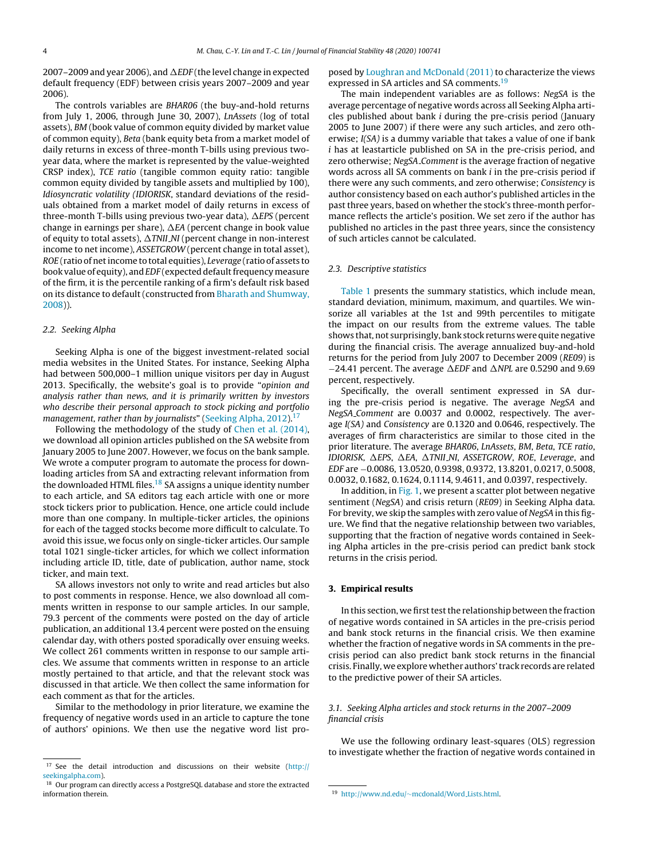<span id="page-3-0"></span>2007–2009 and year 2006), and  $\Delta E$ DF (the level change in expected default frequency (EDF) between crisis years 2007–2009 and year 2006).

The controls variables are BHAR06 (the buy-and-hold returns from July 1, 2006, through June 30, 2007), LnAssets (log of total assets), BM (book value of common equity divided by market value of common equity), Beta (bank equity beta from a market model of daily returns in excess of three-month T-bills using previous twoyear data, where the market is represented by the value-weighted CRSP index), TCE ratio (tangible common equity ratio: tangible common equity divided by tangible assets and multiplied by 100), Idiosyncratic volatility (IDIORISK, standard deviations of the residuals obtained from a market model of daily returns in excess of three-month T-bills using previous two-year data),  $\Delta{EPS}$  (percent change in earnings per share),  $\Delta$ EA (percent change in book value of equity to total assets),  $\Delta T$ NII<sub>-</sub>NI (percent change in non-interest income to net income), ASSETGROW (percent change in total asset), ROE (ratio of net income to total equities), Leverage (ratio of assets to book value of equity), and EDF (expected default frequency measure of the firm, it is the percentile ranking of a firm's default risk based on its distance to default (constructed from [Bharath](#page-12-0) [and](#page-12-0) [Shumway,](#page-12-0) [2008\)\)](#page-12-0).

#### 2.2. Seeking Alpha

Seeking Alpha is one of the biggest investment-related social media websites in the United States. For instance, Seeking Alpha had between 500,000–1 million unique visitors per day in August 2013. Specifically, the website's goal is to provide "opinion and analysis rather than news, and it is primarily written by investors who describe their personal approach to stock picking and portfolio management, rather than by journalists" [\(Seeking](#page-12-0) [Alpha,](#page-12-0) [2012\).](#page-12-0)<sup>17</sup>

Following the methodology of the study of [Chen](#page-12-0) et [al.](#page-12-0) [\(2014\),](#page-12-0) we download all opinion articles published on the SA website from January 2005 to June 2007. However, we focus on the bank sample. We wrote a computer program to automate the process for downloading articles from SA and extracting relevant information from the downloaded HTML files.<sup>18</sup> SA assigns a unique identity number to each article, and SA editors tag each article with one or more stock tickers prior to publication. Hence, one article could include more than one company. In multiple-ticker articles, the opinions for each of the tagged stocks become more difficult to calculate. To avoid this issue, we focus only on single-ticker articles. Our sample total 1021 single-ticker articles, for which we collect information including article ID, title, date of publication, author name, stock ticker, and main text.

SA allows investors not only to write and read articles but also to post comments in response. Hence, we also download all comments written in response to our sample articles. In our sample, 79.3 percent of the comments were posted on the day of article publication, an additional 13.4 percent were posted on the ensuing calendar day, with others posted sporadically over ensuing weeks. We collect 261 comments written in response to our sample articles. We assume that comments written in response to an article mostly pertained to that article, and that the relevant stock was discussed in that article. We then collect the same information for each comment as that for the articles.

Similar to the methodology in prior literature, we examine the frequency of negative words used in an article to capture the tone of authors' opinions. We then use the negative word list pro-

posed by [Loughran](#page-12-0) [and](#page-12-0) [McDonald](#page-12-0) [\(2011\)](#page-12-0) to characterize the views expressed in SA articles and SA comments.<sup>19</sup>

The main independent variables are as follows: NegSA is the average percentage of negative words across all Seeking Alpha articles published about bank i during the pre-crisis period (January 2005 to June 2007) if there were any such articles, and zero otherwise; I(SA) is a dummy variable that takes a value of one if bank i has at leastarticle published on SA in the pre-crisis period, and zero otherwise; NegSA Comment is the average fraction of negative words across all SA comments on bank i in the pre-crisis period if there were any such comments, and zero otherwise; Consistency is author consistency based on each author's published articles in the past three years, based on whether the stock's three-month performance reflects the article's position. We set zero if the author has published no articles in the past three years, since the consistency of such articles cannot be calculated.

#### 2.3. Descriptive statistics

[Table](#page-4-0) 1 presents the summary statistics, which include mean, standard deviation, minimum, maximum, and quartiles. We winsorize all variables at the 1st and 99th percentiles to mitigate the impact on our results from the extreme values. The table shows that, not surprisingly, bank stock returns were quite negative during the financial crisis. The average annualized buy-and-hold returns for the period from July 2007 to December 2009 (RE09) is  $-24.41$  percent. The average  $\Delta EDF$  and  $\Delta NPL$  are 0.5290 and 9.69 percent, respectively.

Specifically, the overall sentiment expressed in SA during the pre-crisis period is negative. The average NegSA and NegSA Comment are 0.0037 and 0.0002, respectively. The average I(SA) and Consistency are 0.1320 and 0.0646, respectively. The averages of firm characteristics are similar to those cited in the prior literature. The average BHAR06, LnAssets, BM, Beta, TCE ratio, IDIORISK,  $\Delta$ EPS,  $\Delta$ EA,  $\Delta$ TNII<sub>-</sub>NI, ASSETGROW, ROE, Leverage, and EDF are −0.0086, 13.0520, 0.9398, 0.9372, 13.8201, 0.0217, 0.5008, 0.0032, 0.1682, 0.1624, 0.1114, 9.4611, and 0.0397, respectively.

In addition, in [Fig.](#page-4-0) 1, we present a scatter plot between negative sentiment (NegSA) and crisis return (RE09) in Seeking Alpha data. For brevity, we skip the samples with zero value of NegSA in this figure. We find that the negative relationship between two variables, supporting that the fraction of negative words contained in Seeking Alpha articles in the pre-crisis period can predict bank stock returns in the crisis period.

#### **3. Empirical results**

In this section, we first test the relationship between the fraction of negative words contained in SA articles in the pre-crisis period and bank stock returns in the financial crisis. We then examine whether the fraction of negative words in SA comments in the precrisis period can also predict bank stock returns in the financial crisis. Finally, we explore whether authors'track records are related to the predictive power of their SA articles.

### 3.1. Seeking Alpha articles and stock returns in the 2007–2009 financial crisis

We use the following ordinary least-squares (OLS) regression to investigate whether the fraction of negative words contained in

<sup>&</sup>lt;sup>17</sup> See the detail introduction and discussions on their website ([http://](http://seekingalpha.com) [seekingalpha.com\)](http://seekingalpha.com).

<sup>18</sup> Our program can directly access a PostgreSQL database and store the extracted information therein.

<sup>19</sup> [http://www.nd.edu/](http://www.nd.edu/~mcdonald/Word_Lists.html)∼[mcdonald](http://www.nd.edu/~mcdonald/Word_Lists.html)/[Word](http://www.nd.edu/~mcdonald/Word_Lists.html) [Lists.html](http://www.nd.edu/~mcdonald/Word_Lists.html).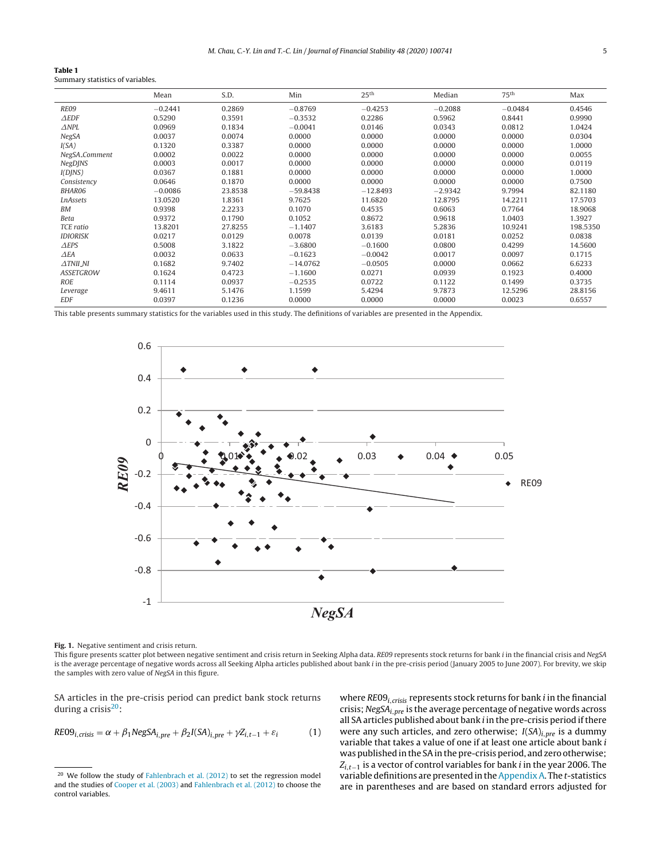#### <span id="page-4-0"></span>**Table 1** Summary statistics of variables.

|                     | Mean      | S.D.    | Min        | 25 <sup>th</sup> | Median    | 75 <sup>th</sup> | Max      |
|---------------------|-----------|---------|------------|------------------|-----------|------------------|----------|
| RE09                | $-0.2441$ | 0.2869  | $-0.8769$  | $-0.4253$        | $-0.2088$ | $-0.0484$        | 0.4546   |
| $\triangle EDF$     | 0.5290    | 0.3591  | $-0.3532$  | 0.2286           | 0.5962    | 0.8441           | 0.9990   |
| $\triangle NPL$     | 0.0969    | 0.1834  | $-0.0041$  | 0.0146           | 0.0343    | 0.0812           | 1.0424   |
| <b>NegSA</b>        | 0.0037    | 0.0074  | 0.0000     | 0.0000           | 0.0000    | 0.0000           | 0.0304   |
| I(SA)               | 0.1320    | 0.3387  | 0.0000     | 0.0000           | 0.0000    | 0.0000           | 1.0000   |
| NegSA_Comment       | 0.0002    | 0.0022  | 0.0000     | 0.0000           | 0.0000    | 0.0000           | 0.0055   |
| <b>NegDJNS</b>      | 0.0003    | 0.0017  | 0.0000     | 0.0000           | 0.0000    | 0.0000           | 0.0119   |
| I(DINS)             | 0.0367    | 0.1881  | 0.0000     | 0.0000           | 0.0000    | 0.0000           | 1.0000   |
| Consistency         | 0.0646    | 0.1870  | 0.0000     | 0.0000           | 0.0000    | 0.0000           | 0.7500   |
| BHAR06              | $-0.0086$ | 23.8538 | $-59.8438$ | $-12.8493$       | $-2.9342$ | 9.7994           | 82.1180  |
| <b>LnAssets</b>     | 13.0520   | 1.8361  | 9.7625     | 11.6820          | 12.8795   | 14.2211          | 17.5703  |
| <b>BM</b>           | 0.9398    | 2.2233  | 0.1070     | 0.4535           | 0.6063    | 0.7764           | 18.9068  |
| Beta                | 0.9372    | 0.1790  | 0.1052     | 0.8672           | 0.9618    | 1.0403           | 1.3927   |
| TCE ratio           | 13.8201   | 27.8255 | $-1.1407$  | 3.6183           | 5.2836    | 10.9241          | 198.5350 |
| <b>IDIORISK</b>     | 0.0217    | 0.0129  | 0.0078     | 0.0139           | 0.0181    | 0.0252           | 0.0838   |
| $\triangle$ EPS     | 0.5008    | 3.1822  | $-3.6800$  | $-0.1600$        | 0.0800    | 0.4299           | 14.5600  |
| $\triangle EA$      | 0.0032    | 0.0633  | $-0.1623$  | $-0.0042$        | 0.0017    | 0.0097           | 0.1715   |
| $\triangle$ TNII_NI | 0.1682    | 9.7402  | $-14.0762$ | $-0.0505$        | 0.0000    | 0.0662           | 6.6233   |
| <b>ASSETGROW</b>    | 0.1624    | 0.4723  | $-1.1600$  | 0.0271           | 0.0939    | 0.1923           | 0.4000   |
| <b>ROE</b>          | 0.1114    | 0.0937  | $-0.2535$  | 0.0722           | 0.1122    | 0.1499           | 0.3735   |
| Leverage            | 9.4611    | 5.1476  | 1.1599     | 5.4294           | 9.7873    | 12.5296          | 28.8156  |
| <b>EDF</b>          | 0.0397    | 0.1236  | 0.0000     | 0.0000           | 0.0000    | 0.0023           | 0.6557   |

This table presents summary statistics for the variables used in this study. The definitions of variables are presented in the Appendix.



**Fig. 1.** Negative sentiment and crisis return.

This figure presents scatter plot between negative sentiment and crisis return in Seeking Alpha data. RE09 represents stock returns for bank i in the financial crisis and NegSA is the average percentage of negative words across all Seeking Alpha articles published about bank i in the pre-crisis period (January 2005 to June 2007). For brevity, we skip the samples with zero value of NegSA in this figure.

SA articles in the pre-crisis period can predict bank stock returns during a crisis $20$ :

$$
RE09_{i,crisis} = \alpha + \beta_1 NegSA_{i,pre} + \beta_2 I(SA)_{i,pre} + \gamma Z_{i,t-1} + \varepsilon_i
$$
 (1)

where  $RE09<sub>i,crisis</sub>$  represents stock returns for bank *i* in the financial crisis; NegS $A_{i,pre}$  is the average percentage of negative words across all SA articles published about bank i in the pre-crisis period if there were any such articles, and zero otherwise;  $I(SA)_{i,pre}$  is a dummy variable that takes a value of one if at least one article about bank i was published in the SA in the pre-crisis period, and zero otherwise;  $Z_{i,t-1}$  is a vector of control variables for bank *i* in the year 2006. The variable definitions are presented in the Appendix A. The t-statistics are in parentheses and are based on standard errors adjusted for

<sup>&</sup>lt;sup>20</sup> We follow the study of [Fahlenbrach](#page-12-0) et [al.](#page-12-0) [\(2012\)](#page-12-0) to set the regression model and the studies of [Cooper](#page-12-0) et [al.](#page-12-0) [\(2003\)](#page-12-0) and [Fahlenbrach](#page-12-0) et [al.](#page-12-0) [\(2012\)](#page-12-0) to choose the control variables.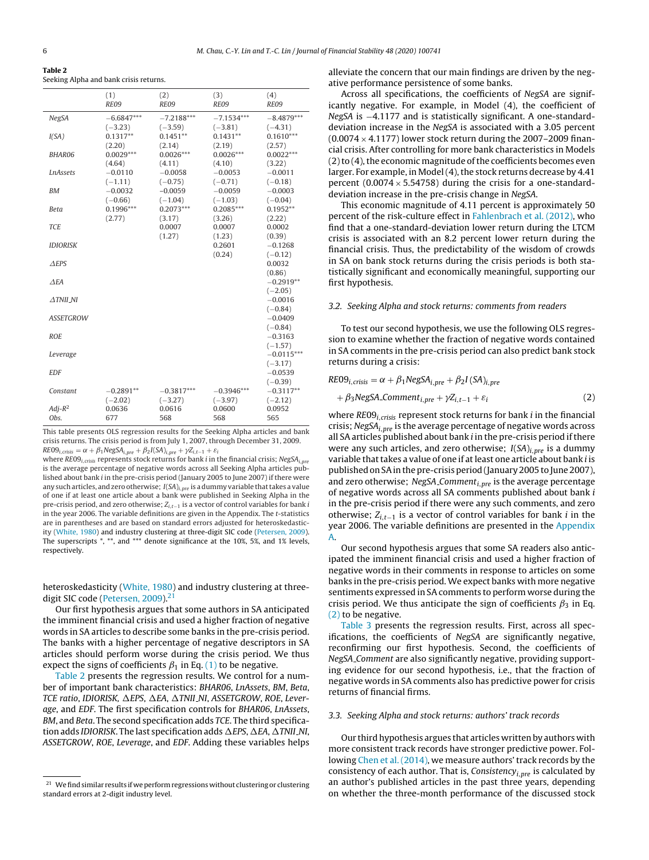<span id="page-5-0"></span>

| Table 2                                |  |  |
|----------------------------------------|--|--|
| Seeking Alpha and bank crisis returns. |  |  |

|                    | (1)<br>RE09                | (2)<br><b>RE09</b>         | (3)<br><b>RE09</b>         | (4)<br>RE09                |
|--------------------|----------------------------|----------------------------|----------------------------|----------------------------|
| <b>NegSA</b>       | $-6.6847***$<br>$(-3.23)$  | $-7.2188***$<br>$(-3.59)$  | $-7.1534***$<br>$(-3.81)$  | $-8.4879***$<br>$(-4.31)$  |
| I(SA)              | $0.1317**$<br>(2.20)       | $0.1451**$<br>(2.14)       | $0.1431**$<br>(2.19)       | $0.1610***$<br>(2.57)      |
| <b>BHAR06</b>      | $0.0029***$<br>(4.64)      | $0.0026***$<br>(4.11)      | $0.0026***$<br>(4.10)      | $0.0022***$<br>(3.22)      |
| <b>LnAssets</b>    | $-0.0110$                  | $-0.0058$                  | $-0.0053$                  | $-0.0011$                  |
| <b>BM</b>          | $(-1.11)$<br>$-0.0032$     | $(-0.75)$<br>$-0.0059$     | $(-0.71)$<br>$-0.0059$     | $(-0.18)$<br>$-0.0003$     |
| Beta               | $(-0.66)$<br>$0.1996***$   | $(-1.04)$<br>$0.2073***$   | $(-1.03)$<br>$0.2085***$   | $(-0.04)$<br>$0.1952**$    |
| <b>TCE</b>         | (2.77)                     | (3.17)<br>0.0007           | (3.26)<br>0.0007           | (2.22)<br>0.0002           |
| <b>IDIORISK</b>    |                            | (1.27)                     | (1.23)<br>0.2601           | (0.39)<br>$-0.1268$        |
| $\triangle$ EPS    |                            |                            | (0.24)                     | $(-0.12)$<br>0.0032        |
| AEA                |                            |                            |                            | (0.86)<br>$-0.2919**$      |
| $\triangle TNILNI$ |                            |                            |                            | $(-2.05)$<br>$-0.0016$     |
| <b>ASSETGROW</b>   |                            |                            |                            | $(-0.84)$<br>$-0.0409$     |
| <b>ROE</b>         |                            |                            |                            | $(-0.84)$<br>$-0.3163$     |
| Leverage           |                            |                            |                            | $(-1.57)$<br>$-0.0115***$  |
| <b>EDF</b>         |                            |                            |                            | $(-3.17)$<br>$-0.0539$     |
| Constant           | $-0.2891**$                | $-0.3817***$               | $-0.3946***$               | $(-0.39)$<br>$-0.3117**$   |
| $Adj-R^2$<br>Obs.  | $(-2.02)$<br>0.0636<br>677 | $(-3.27)$<br>0.0616<br>568 | $(-3.97)$<br>0.0600<br>568 | $(-2.12)$<br>0.0952<br>565 |

This table presents OLS regression results for the Seeking Alpha articles and bank crisis returns. The crisis period is from July 1, 2007, through December 31, 2009.  $RE09_{i,crisis} = \alpha + \beta_1 NegSA_{i,pre} + \beta_2 I(SA)_{i,pre} + \gamma Z_{i,t-1} + \varepsilon_i$ 

where  $RE09_{i,crisis}$  represents stock returns for bank *i* in the financial crisis; NegSA<sub>i,pre</sub> is the average percentage of negative words across all Seeking Alpha articles published about bank i in the pre-crisis period (January 2005 to June 2007) if there were any such articles, and zero otherwise;  $I(SA)_{i,pre}$  is a dummy variable that takes a value of one if at least one article about a bank were published in Seeking Alpha in the pre-crisis period, and zero otherwise; Z<sub>i,t−1</sub> is a vector of control variables for bank i in the year 2006. The variable definitions are given in the Appendix. The t-statistics are in parentheses and are based on standard errors adjusted for heteroskedasticity ([White,](#page-12-0) [1980\)](#page-12-0) and industry clustering at three-digit SIC code [\(Petersen,](#page-12-0) [2009\).](#page-12-0) The superscripts \*, \*\*, and \*\*\* denote significance at the 10%, 5%, and 1% levels, respectively.

heteroskedasticity [\(White,](#page-12-0) [1980\)](#page-12-0) and industry clustering at three-digit SIC code ([Petersen,](#page-12-0) 2009).<sup>21</sup>

Our first hypothesis argues that some authors in SA anticipated the imminent financial crisis and used a higher fraction of negative words in SA articles to describe some banks in the pre-crisis period. The banks with a higher percentage of negative descriptors in SA articles should perform worse during the crisis period. We thus expect the signs of coefficients  $\beta_1$  in Eq. [\(1\)](#page-4-0) to be negative.

Table 2 presents the regression results. We control for a number of important bank characteristics: BHAR06, LnAssets, BM, Beta, TCE ratio, IDIORISK,  $\Delta$ EPS,  $\Delta$ EA,  $\Delta$ TNII\_NI, ASSETGROW, ROE, Leverage, and EDF. The first specification controls for BHAR06, LnAssets, BM, and Beta. The second specification adds TCE. The third specification adds IDIORISK. The last specification adds  $\Delta{EPS}$ ,  $\Delta{EA}$ ,  $\Delta{TNII}$ .NI, ASSETGROW, ROE, Leverage, and EDF. Adding these variables helps alleviate the concern that our main findings are driven by the negative performance persistence of some banks.

Across all specifications, the coefficients of NegSA are significantly negative. For example, in Model (4), the coefficient of NegSA is -4.1177 and is statistically significant. A one-standarddeviation increase in the NegSA is associated with a 3.05 percent  $(0.0074 \times 4.1177)$  lower stock return during the 2007–2009 financial crisis. After controlling for more bank characteristics in Models  $(2)$  to  $(4)$ , the economic magnitude of the coefficients becomes even larger. For example, in Model $(4)$ , the stock returns decrease by 4.41 percent  $(0.0074 \times 5.54758)$  during the crisis for a one-standarddeviation increase in the pre-crisis change in NegSA.

This economic magnitude of 4.11 percent is approximately 50 percent of the risk-culture effect in [Fahlenbrach](#page-12-0) et [al.](#page-12-0) [\(2012\),](#page-12-0) who find that a one-standard-deviation lower return during the LTCM crisis is associated with an 8.2 percent lower return during the financial crisis. Thus, the predictability of the wisdom of crowds in SA on bank stock returns during the crisis periods is both statistically significant and economically meaningful, supporting our first hypothesis.

#### 3.2. Seeking Alpha and stock returns: comments from readers

To test our second hypothesis, we use the following OLS regression to examine whether the fraction of negative words contained in SA comments in the pre-crisis period can also predict bank stock returns during a crisis:

$$
RE09_{i,crisis} = \alpha + \beta_1 NegSA_{i,pre} + \beta_2 I(SA)_{i,pre}
$$
  
+  $\beta_3 NegSA_{i,pre} + \gamma Z_{i,t-1} + \varepsilon_i$  (2)

where  $RE09<sub>i,crisis</sub>$  represent stock returns for bank *i* in the financial crisis; NegS $A_{i,nre}$  is the average percentage of negative words across all SA articles published about bank  $i$  in the pre-crisis period if there were any such articles, and zero otherwise;  $I(SA)_{i,pre}$  is a dummy variable that takes a value of one if at least one article about bank i is published on SA in the pre-crisis period (January 2005 to June 2007), and zero otherwise; NegSA<sub>-Comment<sub>i,pre</sub> is the average percentage</sub> of negative words across all SA comments published about bank  $i$ in the pre-crisis period if there were any such comments, and zero otherwise;  $Z_{i,t-1}$  is a vector of control variables for bank *i* in the year 2006. The variable definitions are presented in the [Appendix](#page-11-0) [A.](#page-11-0)

Our second hypothesis argues that some SA readers also anticipated the imminent financial crisis and used a higher fraction of negative words in their comments in response to articles on some banks in the pre-crisis period. We expect banks with more negative sentiments expressed in SA comments to perform worse during the crisis period. We thus anticipate the sign of coefficients  $\beta_3$  in Eq. (2) to be negative.

[Table](#page-6-0) 3 presents the regression results. First, across all specifications, the coefficients of NegSA are significantly negative, reconfirming our first hypothesis. Second, the coefficients of NegSA Comment are also significantly negative, providing supporting evidence for our second hypothesis, i.e., that the fraction of negative words in SA comments also has predictive power for crisis returns of financial firms.

#### 3.3. Seeking Alpha and stock returns: authors' track records

Our third hypothesis argues that articles written by authors with more consistent track records have stronger predictive power. Following [Chen](#page-12-0) et [al.](#page-12-0) [\(2014\),](#page-12-0) we measure authors' track records by the consistency of each author. That is, Consistency<sub>i, pre</sub> is calculated by an author's published articles in the past three years, depending on whether the three-month performance of the discussed stock

 $^{21}\,$  We find similar results if we perform regressions without clustering or clustering standard errors at 2-digit industry level.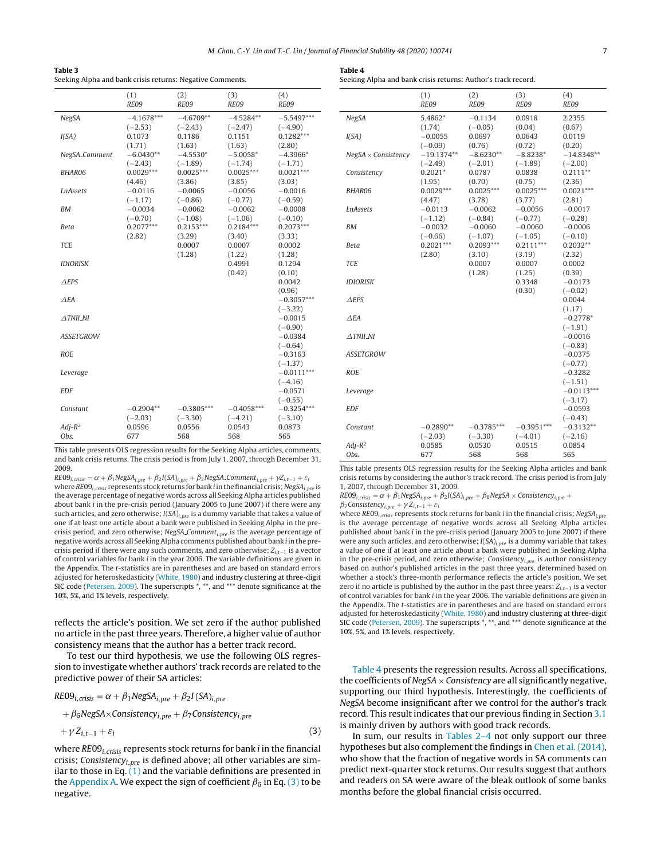<span id="page-6-0"></span>

| Table 3                                                   |
|-----------------------------------------------------------|
| Seeking Alpha and bank crisis returns: Negative Comments. |

|                     | (1)<br>RE09  | (2)<br>RE09  | (3)<br>RE09  | (4)<br>RE09               |
|---------------------|--------------|--------------|--------------|---------------------------|
|                     |              |              |              |                           |
| NegSA               | $-4.1678***$ | $-4.6709**$  | $-4.5284**$  | $-5.5497***$              |
|                     | $(-2.53)$    | $(-2.43)$    | $(-2.47)$    | $(-4.90)$                 |
| I(SA)               | 0.1073       | 0.1186       | 0.1151       | $0.1282***$               |
|                     | (1.71)       | (1.63)       | (1.63)       | (2.80)                    |
| NegSA_Comment       | $-6.0430**$  | $-4.5530*$   | $-5.0058*$   | $-4.3966*$                |
|                     | $(-2.43)$    | $(-1.89)$    | $(-1.74)$    | $(-1.71)$                 |
| BHAR06              | $0.0029***$  | $0.0025***$  | $0.0025***$  | $0.0021***$               |
|                     | (4.46)       | (3.86)       | (3.85)       | (3.03)                    |
| <b>LnAssets</b>     | $-0.0116$    | $-0.0065$    | $-0.0056$    | $-0.0016$                 |
|                     | $(-1.17)$    | $(-0.86)$    | $(-0.77)$    | $(-0.59)$                 |
| <b>BM</b>           | $-0.0034$    | $-0.0062$    | $-0.0062$    | $-0.0008$                 |
|                     | $(-0.70)$    | $(-1.08)$    | $(-1.06)$    | $(-0.10)$                 |
| Beta                | $0.2077***$  | $0.2153***$  | $0.2184***$  | $0.2073***$               |
|                     | (2.82)       | (3.29)       | (3.40)       | (3.33)                    |
| <b>TCE</b>          |              | 0.0007       | 0.0007       | 0.0002                    |
|                     |              | (1.28)       | (1.22)       | (1.28)                    |
| <b>IDIORISK</b>     |              |              | 0.4991       | 0.1294                    |
|                     |              |              | (0.42)       | (0.10)                    |
| $A$ EPS             |              |              |              | 0.0042                    |
|                     |              |              |              | (0.96)                    |
| $\triangle$ FA      |              |              |              | $-0.3057***$              |
|                     |              |              |              | $(-3.22)$                 |
| $\triangle$ TNII_NI |              |              |              | $-0.0015$                 |
|                     |              |              |              | $(-0.90)$                 |
| <b>ASSETGROW</b>    |              |              |              | $-0.0384$                 |
|                     |              |              |              | $(-0.64)$                 |
| <b>ROE</b>          |              |              |              | $-0.3163$                 |
|                     |              |              |              | $(-1.37)$                 |
| Leverage            |              |              |              | $-0.0111***$<br>$(-4.16)$ |
| <b>EDF</b>          |              |              |              | $-0.0571$                 |
|                     |              |              |              | $(-0.55)$                 |
| Constant            | $-0.2904**$  | $-0.3805***$ | $-0.4058***$ | $-0.3254***$              |
|                     | $(-2.03)$    | $(-3.30)$    | $(-4.21)$    | $(-3.10)$                 |
| $Adj-R^2$           | 0.0596       | 0.0556       | 0.0543       | 0.0873                    |
| Obs.                | 677          | 568          | 568          | 565                       |
|                     |              |              |              |                           |

This table presents OLS regression results for the Seeking Alpha articles, comments, and bank crisis returns. The crisis period is from July 1, 2007, through December 31, 2009.

 $RE09_{i,crisis} = \alpha + \beta_1 NegSA_{i,pre} + \beta_2 I(SA)_{i,pre} + \beta_3 NegSA_{i,pre} + \gamma Z_{i,t-1} + \varepsilon_i$ where  $RE09$ <sub>i.crisis</sub> represents stock returns for bank *i* in the financial crisis; NegSA<sub>i.pre</sub> is the average percentage of negative words across all Seeking Alpha articles published about bank i in the pre-crisis period (January 2005 to June 2007) if there were any such articles, and zero otherwise;  $I(SA)_{i,nre}$  is a dummy variable that takes a value of one if at least one article about a bank were published in Seeking Alpha in the precrisis period, and zero otherwise; NegSA\_Comment $_{i,pre}$  is the average percentage of negative words across all Seeking Alpha comments published about bank i in the precrisis period if there were any such comments, and zero otherwise;  $Z_{i,t-1}$  is a vector of control variables for bank i in the year 2006. The variable definitions are given in the Appendix. The t-statistics are in parentheses and are based on standard errors adjusted for heteroskedasticity ([White,](#page-12-0) [1980\)](#page-12-0) and industry clustering at three-digit SIC code ([Petersen,](#page-12-0) [2009\).](#page-12-0) The superscripts \*, \*\*, and \*\*\* denote significance at the 10%, 5%, and 1% levels, respectively.

reflects the article's position. We set zero if the author published no article in the pastthree years. Therefore, a higher value of author consistency means that the author has a better track record.

To test our third hypothesis, we use the following OLS regression to investigate whether authors'track records are related to the predictive power of their SA articles:

$$
RE09i,crisis = \alpha + \beta_1 NegSAi,pre + \beta_2 I(SA)i,pre
$$
  
+  $\beta_6 NegSA \times Consistencyi,pre + \beta_7 Consistencyi,pre$   
+  $\gamma Zi,t-1 + \varepsiloni$  (3)

where  $RE09_{i,crisis}$  represents stock returns for bank *i* in the financial crisis; Consistency<sub>i, pre</sub> is defined above; all other variables are similar to those in Eq.  $(1)$  and the variable definitions are presented in the [Appendix](#page-11-0) [A.](#page-11-0) We expect the sign of coefficient  $\beta_6$  in Eq. (3) to be negative.

| Seeking Alpha and bank crisis returns: Author's track record. |             |        |             |     |
|---------------------------------------------------------------|-------------|--------|-------------|-----|
|                                                               | (1)         | (2)    | (3)         | (4) |
|                                                               | <b>PEOO</b> | $PF$ 0 | <b>PEOO</b> | DЕ  |

|                                 | <b>RE09</b>                | RE09                       | <b>RE09</b>                | <b>RE09</b>                |
|---------------------------------|----------------------------|----------------------------|----------------------------|----------------------------|
| NegSA                           | 5.4862*<br>(1.74)          | $-0.1134$<br>$(-0.05)$     | 0.0918<br>(0.04)           | 2.2355<br>(0.67)           |
| I(SA)                           | $-0.0055$<br>$(-0.09)$     | 0.0697<br>(0.76)           | 0.0643<br>(0.72)           | 0.0119<br>(0.20)           |
| $NegSA \times Consistency$      | $-19.1374**$<br>$(-2.49)$  | $-8.6230**$<br>$(-2.01)$   | $-8.8238*$<br>$(-1.89)$    | $-14.8348**$<br>$(-2.00)$  |
| Consistency                     | $0.2021*$<br>(1.95)        | 0.0787<br>(0.70)           | 0.0838<br>(0.75)           | $0.2111**$<br>(2.36)       |
| <b>BHAR06</b>                   | $0.0029***$<br>(4.47)      | $0.0025***$<br>(3.78)      | $0.0025***$<br>(3.77)      | $0.0021***$<br>(2.81)      |
| <b>LnAssets</b>                 | $-0.0113$<br>$(-1.12)$     | $-0.0062$<br>$(-0.84)$     | $-0.0056$<br>$(-0.77)$     | $-0.0017$<br>$(-0.28)$     |
| ΒM                              | $-0.0032$<br>$(-0.66)$     | $-0.0060$<br>$(-1.07)$     | $-0.0060$<br>$(-1.05)$     | $-0.0006$<br>$(-0.10)$     |
| Beta                            | $0.2021***$<br>(2.80)      | $0.2093***$<br>(3.10)      | $0.2111***$<br>(3.19)      | $0.2032**$<br>(2.32)       |
| <b>TCE</b>                      |                            | 0.0007<br>(1.28)           | 0.0007<br>(1.25)           | 0.0002<br>(0.39)           |
| <b>IDIORISK</b>                 |                            |                            | 0.3348<br>(0.30)           | $-0.0173$<br>$(-0.02)$     |
| $\triangle$ EPS                 |                            |                            |                            | 0.0044<br>(1.17)           |
| ΔЕΑ                             |                            |                            |                            | $-0.2778*$<br>$(-1.91)$    |
| $\triangle$ TNII <sub>-NI</sub> |                            |                            |                            | $-0.0016$<br>$(-0.83)$     |
| <b>ASSETGROW</b>                |                            |                            |                            | $-0.0375$<br>$(-0.77)$     |
| <b>ROE</b>                      |                            |                            |                            | $-0.3282$<br>$(-1.51)$     |
| Leverage                        |                            |                            |                            | $-0.0113***$<br>$(-3.17)$  |
| <b>EDF</b>                      |                            |                            |                            | $-0.0593$                  |
| Constant                        | $-0.2890**$                | $-0.3785***$               | $-0.3951***$               | $(-0.43)$<br>$-0.3132**$   |
| $Adi-R^2$<br>Obs.               | $(-2.03)$<br>0.0585<br>677 | $(-3.30)$<br>0.0530<br>568 | $(-4.01)$<br>0.0515<br>568 | $(-2.16)$<br>0.0854<br>565 |

This table presents OLS regression results for the Seeking Alpha articles and bank crisis returns by considering the author's track record. The crisis period is from July 1, 2007, through December 31, 2009.

 $RE09_{i, crisis} = \alpha + \beta_1 NegSA_{i,pre} + \beta_2 I(SA)_{i,pre} + \beta_6 NegSA \times Consistency_{i,pre} +$ 

 $\beta_7$ Consistency<sub>i,pre</sub> +  $\gamma Z_{i,t-1}$  +  $\varepsilon_i$ 

where RE09<sub>i,crisis</sub> represents stock returns for bank *i* in the financial crisis; NegSA<sub>i,pre</sub> is the average percentage of negative words across all Seeking Alpha articles published about bank  $i$  in the pre-crisis period (January 2005 to June 2007) if there were any such articles, and zero otherwise;  $I(SA)_{i,pre}$  is a dummy variable that takes a value of one if at least one article about a bank were published in Seeking Alpha in the pre-crisis period, and zero otherwise; Consistency<sub>i, pre</sub> is author consistency based on author's published articles in the past three years, determined based on whether a stock's three-month performance reflects the article's position. We set zero if no article is published by the author in the past three years;  $Z_{i,t-1}$  is a vector of control variables for bank i in the year 2006. The variable definitions are given in the Appendix. The t-statistics are in parentheses and are based on standard errors adjusted for heteroskedasticity [\(White,](#page-12-0) [1980\)](#page-12-0) and industry clustering at three-digit SIC code [\(Petersen,](#page-12-0) [2009\).](#page-12-0) The superscripts \*, \*\*, and \*\*\* denote significance at the 10%, 5%, and 1% levels, respectively.

Table 4 presents the regression results. Across all specifications, the coefficients of NegSA  $\times$  Consistency are all significantly negative, supporting our third hypothesis. Interestingly, the coefficients of NegSA become insignificant after we control for the author's track record. This result indicates that our previous finding in Section [3.1](#page-3-0) is mainly driven by authors with good track records.

In sum, our results in [Tables](#page-5-0) 2–4 not only support our three hypotheses but also complement the findings in [Chen](#page-12-0) et [al.](#page-12-0) [\(2014\),](#page-12-0) who show that the fraction of negative words in SA comments can predict next-quarter stock returns. Our results suggest that authors and readers on SA were aware of the bleak outlook of some banks months before the global financial crisis occurred.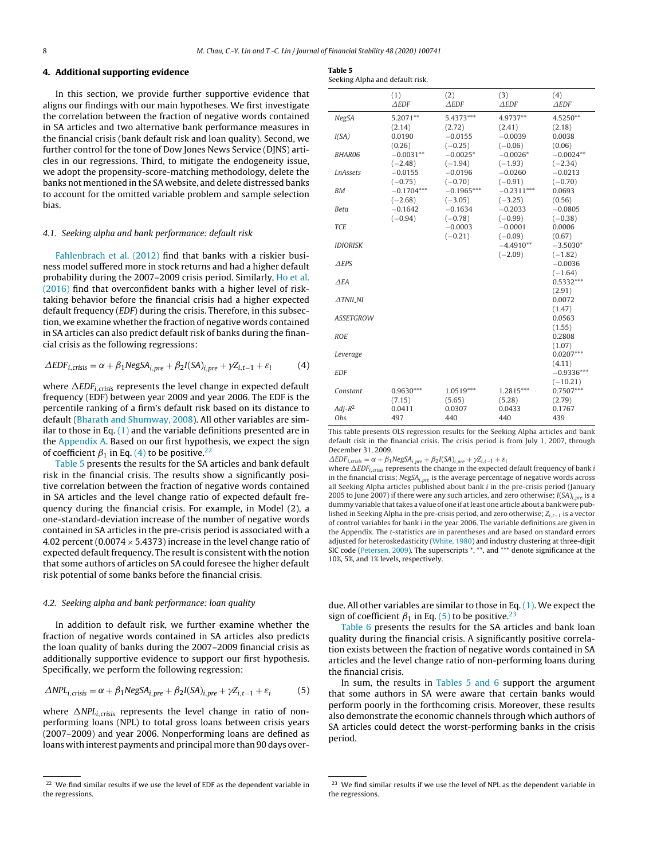#### **4. Additional supporting evidence**

In this section, we provide further supportive evidence that aligns our findings with our main hypotheses. We first investigate the correlation between the fraction of negative words contained in SA articles and two alternative bank performance measures in the financial crisis (bank default risk and loan quality). Second, we further control for the tone of Dow Jones News Service (DJNS) articles in our regressions. Third, to mitigate the endogeneity issue, we adopt the propensity-score-matching methodology, delete the banks not mentioned in the SA website, and delete distressed banks to account for the omitted variable problem and sample selection bias.

#### 4.1. Seeking alpha and bank performance: default risk

[Fahlenbrach](#page-12-0) et [al.](#page-12-0) [\(2012\)](#page-12-0) find that banks with a riskier business model suffered more in stock returns and had a higher default probability during the 2007–2009 crisis period. Similarly, [Ho](#page-12-0) et [al.](#page-12-0) [\(2016\)](#page-12-0) find that overconfident banks with a higher level of risktaking behavior before the financial crisis had a higher expected default frequency (EDF) during the crisis. Therefore, in this subsection, we examine whether the fraction of negative words contained in SA articles can also predict default risk of banks during the financial crisis as the following regressions:

$$
\Delta EDF_{i,crisis} = \alpha + \beta_1 NegSA_{i,pre} + \beta_2 I(SA)_{i,pre} + \gamma Z_{i,t-1} + \varepsilon_i
$$
 (4)

where  $\Delta EDF_{i,crisis}$  represents the level change in expected default frequency (EDF) between year 2009 and year 2006. The EDF is the percentile ranking of a firm's default risk based on its distance to default ([Bharath](#page-12-0) [and](#page-12-0) [Shumway,](#page-12-0) [2008\).](#page-12-0) All other variables are similar to those in Eq.  $(1)$  and the variable definitions presented are in the [Appendix](#page-11-0) [A.](#page-11-0) Based on our first hypothesis, we expect the sign of coefficient  $\beta_1$  in Eq. (4) to be positive.<sup>22</sup>

Table 5 presents the results for the SA articles and bank default risk in the financial crisis. The results show a significantly positive correlation between the fraction of negative words contained in SA articles and the level change ratio of expected default frequency during the financial crisis. For example, in Model (2), a one-standard-deviation increase of the number of negative words contained in SA articles in the pre-crisis period is associated with a 4.02 percent (0.0074  $\times$  5.4373) increase in the level change ratio of expected default frequency. The result is consistent with the notion that some authors of articles on SA could foresee the higher default risk potential of some banks before the financial crisis.

## 4.2. Seeking alpha and bank performance: loan quality

In addition to default risk, we further examine whether the fraction of negative words contained in SA articles also predicts the loan quality of banks during the 2007–2009 financial crisis as additionally supportive evidence to support our first hypothesis. Specifically, we perform the following regression:

$$
\Delta NPL_{i,crisis} = \alpha + \beta_1 NegSA_{i,pre} + \beta_2 I(SA)_{i,pre} + \gamma Z_{i,t-1} + \varepsilon_i
$$
 (5)

where  $\Delta NPL_{i,crisis}$  represents the level change in ratio of nonperforming loans (NPL) to total gross loans between crisis years (2007–2009) and year 2006. Nonperforming loans are defined as loans with interest payments and principal more than 90 days over-

| $\sim$<br>$\sim$<br>---- |  |
|--------------------------|--|
|                          |  |

| Seeking Alpha and default risk. |  |
|---------------------------------|--|
|---------------------------------|--|

|                    | (1)<br>$\triangle EDF$              | (2)<br>$\triangle EDF$              | (3)<br>$\triangle EDF$              | (4)<br>$\triangle EDF$              |
|--------------------|-------------------------------------|-------------------------------------|-------------------------------------|-------------------------------------|
| <b>NegSA</b>       | 5.2071**<br>(2.14)                  | 5.4373***<br>(2.72)                 | 4.9737**<br>(2.41)                  | 4.5250**<br>(2.18)                  |
| I(SA)              | 0.0190<br>(0.26)                    | $-0.0155$<br>$(-0.25)$              | $-0.0039$<br>$(-0.06)$              | 0.0038<br>(0.06)                    |
| <b>BHAR06</b>      | $-0.0031**$                         | $-0.0025*$                          | $-0.0026*$                          | $-0.0024**$                         |
| <b>LnAssets</b>    | $(-2.48)$<br>$-0.0155$<br>$(-0.75)$ | $(-1.94)$<br>$-0.0196$<br>$(-0.70)$ | $(-1.93)$<br>$-0.0260$<br>$(-0.91)$ | $(-2.34)$<br>$-0.0213$<br>$(-0.70)$ |
| <b>BM</b>          | $-0.1704***$<br>$(-2.68)$           | $-0.1965***$<br>$(-3.05)$           | $-0.2311***$<br>$(-3.25)$           | 0.0693<br>(0.56)                    |
| Beta               | $-0.1642$<br>$(-0.94)$              | $-0.1634$<br>$(-0.78)$              | $-0.2033$<br>$(-0.99)$              | $-0.0805$<br>$(-0.38)$              |
| <b>TCE</b>         |                                     | $-0.0003$                           | $-0.0001$                           | 0.0006                              |
| <b>IDIORISK</b>    |                                     | $(-0.21)$                           | $(-0.09)$<br>$-4.4910**$            | (0.67)<br>$-3.5030*$                |
| $\triangle$ EPS    |                                     |                                     | $(-2.09)$                           | $(-1.82)$<br>$-0.0036$              |
| $\triangle EA$     |                                     |                                     |                                     | $(-1.64)$<br>$0.5332***$            |
| $\triangle TNILNI$ |                                     |                                     |                                     | (2.91)<br>0.0072                    |
| <b>ASSETGROW</b>   |                                     |                                     |                                     | (1.47)<br>0.0563                    |
| <b>ROE</b>         |                                     |                                     |                                     | (1.55)<br>0.2808                    |
| Leverage           |                                     |                                     |                                     | (1.07)<br>$0.0207***$               |
| <b>EDF</b>         |                                     |                                     |                                     | (4.11)<br>$-0.9336***$              |
| Constant           | $0.9630***$<br>(7.15)               | 1.0519***<br>(5.65)                 | 1.2815***<br>(5.28)                 | $(-10.21)$<br>$0.7507***$<br>(2.79) |
| $Adj-R^2$<br>Obs.  | 0.0411<br>497                       | 0.0307<br>440                       | 0.0433<br>440                       | 0.1767<br>439                       |

This table presents OLS regression results for the Seeking Alpha articles and bank default risk in the financial crisis. The crisis period is from July 1, 2007, through December 31, 2009.

 $\triangle EDF_{i,crisis} = \alpha + \beta_1 NegSA_{i,pre} + \beta_2 I(SA)_{i,pre} + \gamma Z_{i,t-1} + \varepsilon_i$ 

where  $\Delta EDF_{i,crisis}$  represents the change in the expected default frequency of bank i in the financial crisis;  $NegSA<sub>i,pre</sub>$  is the average percentage of negative words across all Seeking Alpha articles published about bank  $i$  in the pre-crisis period (January 2005 to June 2007) if there were any such articles, and zero otherwise;  $I(SA)_{i,nre}$  is a dummy variable that takes a value of one if at least one article about a bank were published in Seeking Alpha in the pre-crisis period, and zero otherwise;  $Z_{i,t-1}$  is a vector of control variables for bank i in the year 2006. The variable definitions are given in the Appendix. The t-statistics are in parentheses and are based on standard errors adjusted for heteroskedasticity [\(White,](#page-12-0) [1980\)](#page-12-0) and industry clustering at three-digit SIC code ([Petersen,](#page-12-0) [2009\).](#page-12-0) The superscripts \*, \*\*, and \*\*\* denote significance at the 10%, 5%, and 1% levels, respectively.

due. All other variables are similar to those in Eq. [\(1\).](#page-4-0) We expect the sign of coefficient  $\beta_1$  in Eq. (5) to be positive.<sup>23</sup>

[Table](#page-8-0) 6 presents the results for the SA articles and bank loan quality during the financial crisis. A significantly positive correlation exists between the fraction of negative words contained in SA articles and the level change ratio of non-performing loans during the financial crisis.

In sum, the results in Tables 5 and 6 support the argument that some authors in SA were aware that certain banks would perform poorly in the forthcoming crisis. Moreover, these results also demonstrate the economic channels through which authors of SA articles could detect the worst-performing banks in the crisis period.

 $22$  We find similar results if we use the level of EDF as the dependent variable in the regressions.

<sup>&</sup>lt;sup>23</sup> We find similar results if we use the level of NPL as the dependent variable in the regressions.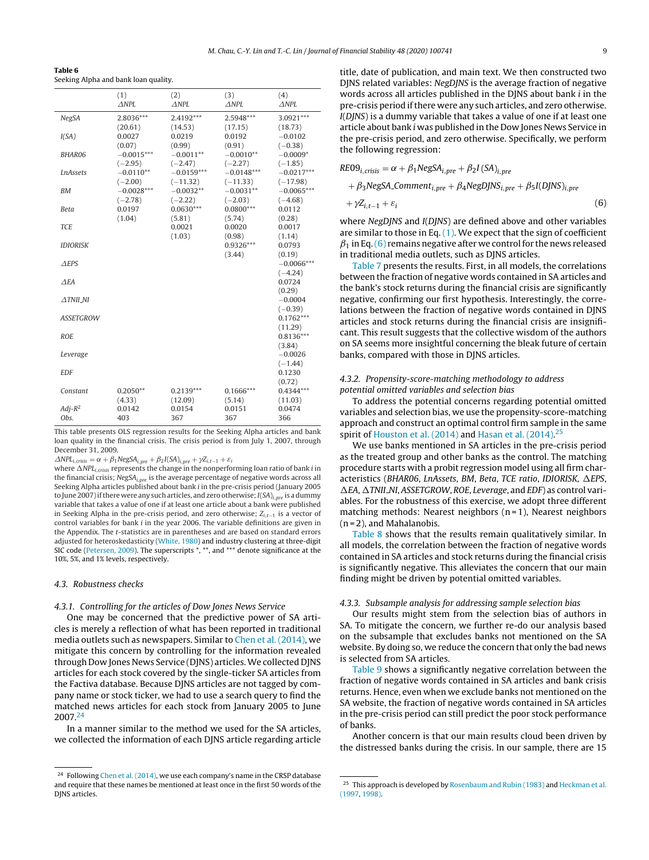<span id="page-8-0"></span>

| Table 6                              |  |
|--------------------------------------|--|
| Seeking Alpha and bank loan quality. |  |

|                     | (1)<br>$\triangle NPL$    | (2)<br>$\triangle NPL$    | (3)<br>$\triangle NPL$    | (4)<br>$\triangle NPL$     |
|---------------------|---------------------------|---------------------------|---------------------------|----------------------------|
| <b>NegSA</b>        | 2.8036***<br>(20.61)      | 2.4192***<br>(14.53)      | 2.5948***<br>(17.15)      | 3.0921***<br>(18.73)       |
| I(SA)               | 0.0027<br>(0.07)          | 0.0219<br>(0.99)          | 0.0192<br>(0.91)          | $-0.0102$<br>$(-0.38)$     |
| <b>BHAR06</b>       | $-0.0015***$              | $-0.0011**$               | $-0.0010**$               | $-0.0009*$                 |
| <b>LnAssets</b>     | $(-2.95)$<br>$-0.0110**$  | $(-2.47)$<br>$-0.0159***$ | $(-2.27)$<br>$-0.0148***$ | $(-1.85)$<br>$-0.0217***$  |
| <b>BM</b>           | $(-2.00)$<br>$-0.0028***$ | $(-11.32)$<br>$-0.0032**$ | $(-11.33)$<br>$-0.0031**$ | $(-17.98)$<br>$-0.0065***$ |
| Beta                | $(-2.78)$<br>0.0197       | $(-2.22)$<br>$0.0630***$  | $(-2.03)$<br>$0.0800***$  | $(-4.68)$<br>0.0112        |
| <b>TCE</b>          | (1.04)                    | (5.81)<br>0.0021          | (5.74)<br>0.0020          | (0.28)<br>0.0017           |
| <b>IDIORISK</b>     |                           | (1.03)                    | (0.98)<br>$0.9326***$     | (1.14)<br>0.0793           |
| $\triangle$ EPS     |                           |                           | (3.44)                    | (0.19)<br>$-0.0066***$     |
| $\triangle EA$      |                           |                           |                           | $(-4.24)$<br>0.0724        |
| $\triangle$ TNII_NI |                           |                           |                           | (0.29)<br>$-0.0004$        |
| <b>ASSETGROW</b>    |                           |                           |                           | $(-0.39)$<br>$0.1762***$   |
| <b>ROE</b>          |                           |                           |                           | (11.29)<br>$0.8136***$     |
| Leverage            |                           |                           |                           | (3.84)<br>$-0.0026$        |
| <b>EDF</b>          |                           |                           |                           | $(-1.44)$<br>0.1230        |
| Constant            | $0.2050**$                | $0.2139***$               | $0.1666***$               | (0.72)<br>$0.4344***$      |
|                     | (4.33)                    | (12.09)<br>0.0154         | (5.14)<br>0.0151          | (11.03)                    |
| $Adi-R^2$<br>Obs.   | 0.0142<br>403             | 367                       | 367                       | 0.0474<br>366              |

This table presents OLS regression results for the Seeking Alpha articles and bank loan quality in the financial crisis. The crisis period is from July 1, 2007, through December 31, 2009.

 $\triangle NPL_{i, crisis} = \alpha + \beta_1 NegSA_{i,pre} + \beta_2 I(SA)_{i,pre} + \gamma Z_{i,t-1} + \varepsilon_i$ 

where  $\Delta NPL_{i,crisis}$  represents the change in the nonperforming loan ratio of bank  $i$  in the financial crisis;  $NegSA<sub>i,nre</sub>$  is the average percentage of negative words across all Seeking Alpha articles published about bank i in the pre-crisis period (January 2005 to June 2007) if there were any such articles, and zero otherwise;  $I(SA)_{i,pre}$  is a dummy variable that takes a value of one if at least one article about a bank were published in Seeking Alpha in the pre-crisis period, and zero otherwise;  $Z_{i,t-1}$  is a vector of control variables for bank  $i$  in the year 2006. The variable definitions are given in the Appendix. The t-statistics are in parentheses and are based on standard errors adjusted for heteroskedasticity ([White,](#page-12-0) [1980\)](#page-12-0) and industry clustering at three-digit SIC code ([Petersen,](#page-12-0) [2009\).](#page-12-0) The superscripts \*, \*\*, and \*\*\* denote significance at the 10%, 5%, and 1% levels, respectively.

#### 4.3. Robustness checks

### 4.3.1. Controlling for the articles of Dow Jones News Service

One may be concerned that the predictive power of SA articles is merely a reflection of what has been reported in traditional media outlets such as newspapers. Similar to [Chen](#page-12-0) et [al.](#page-12-0) [\(2014\),](#page-12-0) we mitigate this concern by controlling for the information revealed through Dow Jones News Service (DJNS) articles.We collected DJNS articles for each stock covered by the single-ticker SA articles from the Factiva database. Because DJNS articles are not tagged by company name or stock ticker, we had to use a search query to find the matched news articles for each stock from January 2005 to June 2007.24

In a manner similar to the method we used for the SA articles, we collected the information of each DJNS article regarding article title, date of publication, and main text. We then constructed two DJNS related variables: NegDJNS is the average fraction of negative words across all articles published in the DJNS about bank i in the pre-crisis period ifthere were any such articles, and zero otherwise. I(DJNS) is a dummy variable that takes a value of one if at least one article about bank i was published in the Dow Jones News Service in the pre-crisis period, and zero otherwise. Specifically, we perform the following regression:

$$
RE09i,crisis = \alpha + \beta_1 NegSAi,pre + \beta_2 I(SA)i,pre
$$
  
+  $\beta_3 NegSA_{\text{Commenti,pre}} + \beta_4 NegDJNS_{i,pre} + \beta_5 I(DJNS)i,pre$   
+  $\gamma Z_{i,t-1} + \varepsilon_i$  (6)

where NegDJNS and I(DJNS) are defined above and other variables are similar to those in Eq.  $(1)$ . We expect that the sign of coefficient  $\beta_1$  in Eq. (6) remains negative after we control for the news released in traditional media outlets, such as DJNS articles.

[Table](#page-9-0) 7 presents the results. First, in all models, the correlations between the fraction of negative words contained in SA articles and the bank's stock returns during the financial crisis are significantly negative, confirming our first hypothesis. Interestingly, the correlations between the fraction of negative words contained in DJNS articles and stock returns during the financial crisis are insignificant. This result suggests that the collective wisdom of the authors on SA seems more insightful concerning the bleak future of certain banks, compared with those in DJNS articles.

### 4.3.2. Propensity-score-matching methodology to address potential omitted variables and selection bias

To address the potential concerns regarding potential omitted variables and selection bias, we use the propensity-score-matching approach and construct an optimal control firm sample in the same spirit of [Houston](#page-12-0) et [al.](#page-12-0) [\(2014\)](#page-12-0) and [Hasan](#page-12-0) et al. [\(2014\).](#page-12-0)<sup>25</sup>

We use banks mentioned in SA articles in the pre-crisis period as the treated group and other banks as the control. The matching procedure starts with a probit regression model using all firm characteristics (BHAR06, LnAssets, BM, Beta, TCE ratio, IDIORISK,  $\Delta$ EPS,  $\Delta$ EA,  $\Delta$ TNII\_NI, ASSETGROW, ROE, Leverage, and EDF) as control variables. For the robustness of this exercise, we adopt three different matching methods: Nearest neighbors  $(n=1)$ , Nearest neighbors (n = 2), and Mahalanobis.

[Table](#page-9-0) 8 shows that the results remain qualitatively similar. In all models, the correlation between the fraction of negative words contained in SA articles and stock returns during the financial crisis is significantly negative. This alleviates the concern that our main finding might be driven by potential omitted variables.

#### 4.3.3. Subsample analysis for addressing sample selection bias

Our results might stem from the selection bias of authors in SA. To mitigate the concern, we further re-do our analysis based on the subsample that excludes banks not mentioned on the SA website. By doing so, we reduce the concern that only the bad news is selected from SA articles.

[Table](#page-10-0) 9 shows a significantly negative correlation between the fraction of negative words contained in SA articles and bank crisis returns. Hence, even when we exclude banks not mentioned on the SA website, the fraction of negative words contained in SA articles in the pre-crisis period can still predict the poor stock performance of banks.

Another concern is that our main results cloud been driven by the distressed banks during the crisis. In our sample, there are 15

<sup>&</sup>lt;sup>24</sup> Following [Chen](#page-12-0) et [al.](#page-12-0) [\(2014\),](#page-12-0) we use each company's name in the CRSP database and require that these names be mentioned at least once in the first 50 words of the DJNS articles.

<sup>&</sup>lt;sup>25</sup> This approach is developed by [Rosenbaum](#page-12-0) [and](#page-12-0) [Rubin](#page-12-0) [\(1983\)](#page-12-0) and [Heckman](#page-12-0) et [al.](#page-12-0) [\(1997,](#page-12-0) [1998\).](#page-12-0)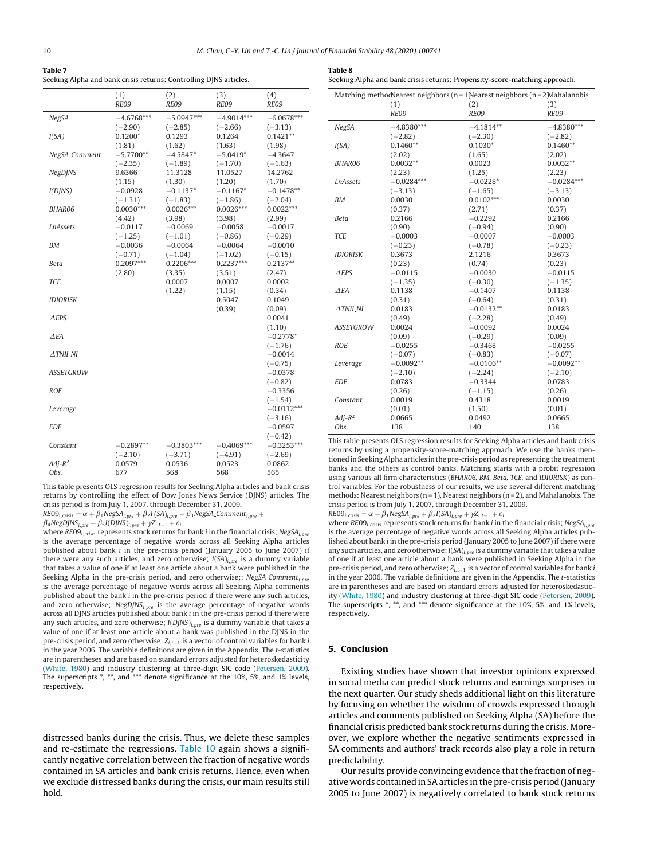<span id="page-9-0"></span>

| Table 7                                                           |  |
|-------------------------------------------------------------------|--|
| Seeking Alpha and bank crisis returns: Controlling DJNS articles. |  |

Seeking Alpha and bank crisis returns: Propensity-score-matching approach.

|                     | (1)<br>RE09                | (2)<br><b>RE09</b>         | (3)<br>RE09                | (4)<br>RE09                |
|---------------------|----------------------------|----------------------------|----------------------------|----------------------------|
| <b>NegSA</b>        | $-4.6768***$<br>$(-2.90)$  | $-5.0947***$<br>$(-2.85)$  | $-4.9014***$<br>$(-2.66)$  | $-6.0678***$<br>$(-3.13)$  |
| I(SA)               | $0.1200*$<br>(1.81)        | 0.1293<br>(1.62)           | 0.1264<br>(1.63)           | $0.1421**$<br>(1.98)       |
| NegSA_Comment       | $-5.7700**$<br>$(-2.35)$   | $-4.5847*$<br>$(-1.89)$    | $-5.0419*$<br>$(-1.70)$    | $-4.3647$<br>$(-1.63)$     |
| <b>NegDJNS</b>      | 9.6366<br>(1.15)           | 11.3128<br>(1.30)          | 11.0527<br>(1.20)          | 14.2762<br>(1.70)          |
| I(DINS)             | $-0.0928$<br>$(-1.31)$     | $-0.1137*$<br>$(-1.83)$    | $-0.1167*$<br>$(-1.86)$    | $-0.1478**$<br>$(-2.04)$   |
| BHAR06              | $0.0030***$<br>(4.42)      | $0.0026***$<br>(3.98)      | $0.0026***$<br>(3.98)      | $0.0022***$<br>(2.99)      |
| <b>LnAssets</b>     | $-0.0117$<br>$(-1.25)$     | $-0.0069$<br>$(-1.01)$     | $-0.0058$<br>$(-0.86)$     | $-0.0017$<br>$(-0.29)$     |
| <b>BM</b>           | $-0.0036$<br>$(-0.71)$     | $-0.0064$<br>$(-1.04)$     | $-0.0064$<br>$(-1.02)$     | $-0.0010$<br>$(-0.15)$     |
| <b>Beta</b>         | $0.2097***$<br>(2.80)      | $0.2206***$<br>(3.35)      | $0.2237***$<br>(3.51)      | $0.2137**$<br>(2.47)       |
| <b>TCE</b>          |                            | 0.0007<br>(1.22)           | 0.0007<br>(1.15)           | 0.0002<br>(0.34)           |
| <b>IDIORISK</b>     |                            |                            | 0.5047<br>(0.39)           | 0.1049<br>(0.09)           |
| $\triangle$ EPS     |                            |                            |                            | 0.0041<br>(1.10)           |
| $\triangle EA$      |                            |                            |                            | $-0.2778*$<br>$(-1.76)$    |
| $\triangle TNII_NI$ |                            |                            |                            | $-0.0014$<br>$(-0.75)$     |
| <b>ASSETGROW</b>    |                            |                            |                            | $-0.0378$<br>$(-0.82)$     |
| <b>ROE</b>          |                            |                            |                            | $-0.3356$<br>$(-1.54)$     |
| Leverage            |                            |                            |                            | $-0.0112***$<br>$(-3.16)$  |
| <b>EDF</b>          |                            |                            |                            | $-0.0597$                  |
| Constant            | $-0.2897**$                | $-0.3803***$               | $-0.4069***$               | $(-0.42)$<br>$-0.3253***$  |
| $Adj-R^2$<br>Obs.   | $(-2.10)$<br>0.0579<br>677 | $(-3.71)$<br>0.0536<br>568 | $(-4.91)$<br>0.0523<br>568 | $(-2.69)$<br>0.0862<br>565 |

This table presents OLS regression results for Seeking Alpha articles and bank crisis returns by controlling the effect of Dow Jones News Service (DJNS) articles. The crisis period is from July 1, 2007, through December 31, 2009.

 $RE09_{i, crisis} = \alpha + \beta_1 NegSA_{i, pre} + \beta_2 I(SA)_{i, pre} + \beta_3 NegSA_{\text{.}Comment}_{i, pre} +$ 

 $\beta_4$ NegDJNS<sub>i,pre</sub> +  $\beta_5 I(DJNS)_{i,pre} + \gamma Z_{i,t-1} + \varepsilon_i$ 

where  $RE09$ <sub>i,crisis</sub> represents stock returns for bank *i* in the financial crisis; NegSA<sub>i,pre</sub> is the average percentage of negative words across all Seeking Alpha articles published about bank i in the pre-crisis period (January 2005 to June 2007) if there were any such articles, and zero otherwise;  $I(SA)_{i,pre}$  is a dummy variable that takes a value of one if at least one article about a bank were published in the Seeking Alpha in the pre-crisis period, and zero otherwise;; NegSA\_Comment $_{i,pre}$ is the average percentage of negative words across all Seeking Alpha comments published about the bank i in the pre-crisis period if there were any such articles, and zero otherwise;  $NegDJNS_{i,pre}$  is the average percentage of negative words across all DJNS articles published about bank i in the pre-crisis period if there were any such articles, and zero otherwise;  $I(DJNS)_{i,pre}$  is a dummy variable that takes a value of one if at least one article about a bank was published in the DJNS in the pre-crisis period, and zero otherwise; Z<sub>i,t−1</sub> is a vector of control variables for bank i in the year 2006. The variable definitions are given in the Appendix. The t-statistics are in parentheses and are based on standard errors adjusted for heteroskedasticity [\(White,](#page-12-0) [1980\)](#page-12-0) and industry clustering at three-digit SIC code [\(Petersen,](#page-12-0) [2009\).](#page-12-0) The superscripts \*, \*\*, and \*\*\* denote significance at the 10%, 5%, and 1% levels, respectively.

distressed banks during the crisis. Thus, we delete these samples and re-estimate the regressions. [Table](#page-10-0) 10 again shows a significantly negative correlation between the fraction of negative words contained in SA articles and bank crisis returns. Hence, even when we exclude distressed banks during the crisis, our main results still hold.

| Matching method Nearest neighbors (n = 1 Nearest neighbors (n = 2 Mahalanobis |              |             |              |  |
|-------------------------------------------------------------------------------|--------------|-------------|--------------|--|
|                                                                               | (1)          | (2)         | (3)          |  |
|                                                                               | RE09         | RE09        | RE09         |  |
| <b>NegSA</b>                                                                  | $-4.8380***$ | $-4.1814**$ | $-4.8380***$ |  |
|                                                                               | $(-2.82)$    | $(-2.30)$   | $(-2.82)$    |  |
| I(SA)                                                                         | $0.1460**$   | $0.1030*$   | $0.1460**$   |  |
|                                                                               | (2.02)       | (1.65)      | (2.02)       |  |
| <b>BHAR06</b>                                                                 | $0.0032**$   | 0.0023      | $0.0032**$   |  |
|                                                                               | (2.23)       | (1.25)      | (2.23)       |  |
| <b>LnAssets</b>                                                               | $-0.0284***$ | $-0.0228*$  | $-0.0284***$ |  |
|                                                                               | $(-3.13)$    | $(-1.65)$   | $(-3.13)$    |  |
| <b>BM</b>                                                                     | 0.0030       | $0.0102***$ | 0.0030       |  |
|                                                                               | (0.37)       | (2.71)      | (0.37)       |  |
| <b>Beta</b>                                                                   | 0.2166       | $-0.2292$   | 0.2166       |  |
|                                                                               | (0.90)       | $(-0.94)$   | (0.90)       |  |
| <b>TCE</b>                                                                    | $-0.0003$    | $-0.0007$   | $-0.0003$    |  |
|                                                                               | $(-0.23)$    | $(-0.78)$   | $(-0.23)$    |  |
| <b>IDIORISK</b>                                                               | 0.3673       | 2.1216      | 0.3673       |  |
|                                                                               | (0.23)       | (0.74)      | (0.23)       |  |
| <b>AEPS</b>                                                                   | $-0.0115$    | $-0.0030$   | $-0.0115$    |  |
|                                                                               | $(-1.35)$    | $(-0.30)$   | $(-1.35)$    |  |
| AFA                                                                           | 0.1138       | $-0.1407$   | 0.1138       |  |
|                                                                               | (0.31)       | $(-0.64)$   | (0.31)       |  |
| $\triangle TNILNI$                                                            | 0.0183       | $-0.0132**$ | 0.0183       |  |
|                                                                               | (0.49)       | $(-2.28)$   | (0.49)       |  |
| <b>ASSETGROW</b>                                                              | 0.0024       | $-0.0092$   | 0.0024       |  |
|                                                                               | (0.09)       | $(-0.29)$   | (0.09)       |  |
| <b>ROE</b>                                                                    | $-0.0255$    | $-0.3468$   | $-0.0255$    |  |
|                                                                               | $(-0.07)$    | $(-0.83)$   | $(-0.07)$    |  |
| Leverage                                                                      | $-0.0092**$  | $-0.0106**$ | $-0.0092**$  |  |
|                                                                               | $(-2.10)$    | $(-2.24)$   | $(-2.10)$    |  |
| <b>EDF</b>                                                                    | 0.0783       | $-0.3344$   | 0.0783       |  |
|                                                                               | (0.26)       | $(-1.15)$   | (0.26)       |  |
| Constant                                                                      | 0.0019       | 0.4318      | 0.0019       |  |
|                                                                               | (0.01)       | (1.50)      | (0.01)       |  |
| $Adi-R^2$                                                                     | 0.0665       | 0.0492      | 0.0665       |  |
| Obs.                                                                          | 138          | 140         | 138          |  |

This table presents OLS regression results for Seeking Alpha articles and bank crisis returns by using a propensity-score-matching approach. We use the banks mentioned in Seeking Alpha articles in the pre-crisis period as representing the treatment banks and the others as control banks. Matching starts with a probit regression using various all firm characteristics (BHAR06, BM, Beta, TCE, and IDIORISK) as control variables. For the robustness of our results, we use several different matching methods: Nearest neighbors ( $n = 1$ ), Nearest neighbors ( $n = 2$ ), and Mahalanobis. The crisis period is from July 1, 2007, through December 31, 2009.

 $RE09_{i,crisis} = \alpha + \beta_1 NegSA_{i,nre} + \beta_2 I(SA)_{i,nre} + \gamma Z_{i,t-1} + \varepsilon_i$ 

where  $RE09_{i,crisis}$  represents stock returns for bank *i* in the financial crisis; NegSA<sub>i,</sub> is the average percentage of negative words across all Seeking Alpha articles published about bank i in the pre-crisis period (January 2005 to June 2007) if there were any such articles, and zero otherwise;  $I(SA)_{i,pre}$  is a dummy variable that takes a value of one if at least one article about a bank were published in Seeking Alpha in the pre-crisis period, and zero otherwise;  $Z_{i,t-1}$  is a vector of control variables for bank *i* in the year 2006. The variable definitions are given in the Appendix. The t-statistics are in parentheses and are based on standard errors adjusted for heteroskedasticity [\(White,](#page-12-0) [1980\)](#page-12-0) and industry clustering at three-digit SIC code ([Petersen,](#page-12-0) [2009\).](#page-12-0) The superscripts \*, \*\*, and \*\*\* denote significance at the 10%, 5%, and 1% levels, respectively.

#### **5. Conclusion**

Existing studies have shown that investor opinions expressed in social media can predict stock returns and earnings surprises in the next quarter. Our study sheds additional light on this literature by focusing on whether the wisdom of crowds expressed through articles and comments published on Seeking Alpha (SA) before the financial crisis predicted bank stock returns during the crisis. Moreover, we explore whether the negative sentiments expressed in SA comments and authors' track records also play a role in return predictability.

Our results provide convincing evidence that the fraction of negative words contained in SAarticles in the pre-crisis period (January 2005 to June 2007) is negatively correlated to bank stock returns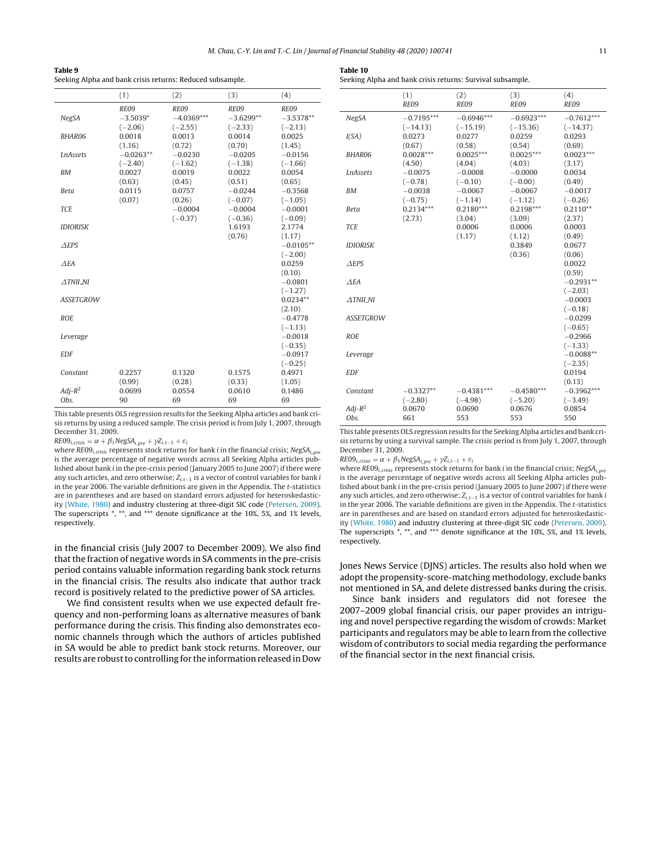<span id="page-10-0"></span>

| Table 9                                                   |
|-----------------------------------------------------------|
| Seeking Alpha and bank crisis returns: Reduced subsample. |

|                     | (1)                             | (2)                               | (3)                              | (4)                              |
|---------------------|---------------------------------|-----------------------------------|----------------------------------|----------------------------------|
| NegSA               | RE09<br>$-3.5039*$<br>$(-2.06)$ | RE09<br>$-4.0369***$<br>$(-2.55)$ | RE09<br>$-3.6299**$<br>$(-2.33)$ | RE09<br>$-3.5378**$<br>$(-2.13)$ |
| <b>BHAR06</b>       | 0.0018<br>(1.16)                | 0.0013<br>(0.72)                  | 0.0014<br>(0.70)                 | 0.0025<br>(1.45)                 |
| <b>LnAssets</b>     | $-0.0263**$<br>$(-2.40)$        | $-0.0230$<br>$(-1.62)$            | $-0.0205$<br>$(-1.38)$           | $-0.0156$<br>$(-1.66)$           |
| <b>BM</b>           | 0.0027<br>(0.63)                | 0.0019<br>(0.45)                  | 0.0022<br>(0.51)                 | 0.0054<br>(0.65)                 |
| <b>Beta</b>         | 0.0115<br>(0.07)                | 0.0757<br>(0.26)                  | $-0.0244$<br>$(-0.07)$           | $-0.3568$<br>$(-1.05)$           |
| <b>TCE</b>          |                                 | $-0.0004$<br>$(-0.37)$            | $-0.0004$<br>$(-0.36)$           | $-0.0001$<br>$(-0.09)$           |
| <b>IDIORISK</b>     |                                 |                                   | 1.6193<br>(0.76)                 | 2.1774<br>(1.17)                 |
| $\triangle$ EPS     |                                 |                                   |                                  | $-0.0105**$<br>$(-2.00)$         |
| AFA                 |                                 |                                   |                                  | 0.0259<br>(0.10)                 |
| $\triangle$ TNII_NI |                                 |                                   |                                  | $-0.0801$<br>$(-1.27)$           |
| <b>ASSETGROW</b>    |                                 |                                   |                                  | $0.0234**$<br>(2.10)             |
| <b>ROE</b>          |                                 |                                   |                                  | $-0.4778$<br>$(-1.13)$           |
| Leverage            |                                 |                                   |                                  | $-0.0018$<br>$(-0.35)$           |
| <b>EDF</b>          |                                 |                                   |                                  | $-0.0917$<br>$(-0.25)$           |
| Constant            | 0.2257<br>(0.99)                | 0.1320<br>(0.28)                  | 0.1575<br>(0.33)                 | 0.4971<br>(1.05)                 |
| $Adi-R^2$<br>Obs.   | 0.0699<br>90                    | 0.0554<br>69                      | 0.0610<br>69                     | 0.1486<br>69                     |

This table presents OLS regression results for the Seeking Alpha articles and bank crisis returns by using a reduced sample. The crisis period is from July 1, 2007, through December 31, 2009.

 $RE09_{i,crisis} = \alpha + \beta_1 NegSA_{i,pre} + \gamma Z_{i,t-1} + \varepsilon_i$ 

where  $RE09_{i,crisis}$  represents stock returns for bank *i* in the financial crisis;  $NegSA_{i,pre}$ is the average percentage of negative words across all Seeking Alpha articles published about bank i in the pre-crisis period (January 2005 to June 2007) if there were any such articles, and zero otherwise;  $Z_{i,t-1}$  is a vector of control variables for bank *i* in the year 2006. The variable definitions are given in the Appendix. The t-statistics are in parentheses and are based on standard errors adjusted for heteroskedasticity [\(White,](#page-12-0) [1980\)](#page-12-0) and industry clustering at three-digit SIC code ([Petersen,](#page-12-0) [2009\).](#page-12-0) The superscripts \*, \*\*, and \*\*\* denote significance at the 10%, 5%, and 1% levels, respectively.

in the financial crisis (July 2007 to December 2009). We also find that the fraction of negative words in SA comments in the pre-crisis period contains valuable information regarding bank stock returns in the financial crisis. The results also indicate that author track record is positively related to the predictive power of SA articles.

We find consistent results when we use expected default frequency and non-performing loans as alternative measures of bank performance during the crisis. This finding also demonstrates economic channels through which the authors of articles published in SA would be able to predict bank stock returns. Moreover, our results are robust to controlling for the information released in Dow

| Seeking Alpha and bank crisis returns: Survival subsample. |              |                  |                  |                  |
|------------------------------------------------------------|--------------|------------------|------------------|------------------|
|                                                            | (1)<br>RE09  | (2)<br>RE09      | (3)<br>RE09      | (4)<br>RE09      |
| <b>NegSA</b>                                               | $-0.7195***$ | $-0.6946***$     | $-0.6923***$     | $-0.7612***$     |
|                                                            | $(-14.13)$   | $(-15.19)$       | $(-15.36)$       | $(-14.37)$       |
| I(SA)                                                      | 0.0273       | 0.0277           | 0.0259           | 0.0293           |
|                                                            | (0.67)       | (0.58)           | (0.54)           | (0.69)           |
| <b>BHAR06</b>                                              | $0.0028***$  | $0.0025***$      | $0.0025***$      | $0.0023***$      |
|                                                            | (4.50)       | (4.04)           | (4.03)           | (3.17)           |
| <b>LnAssets</b>                                            | $-0.0075$    | $-0.0008$        | $-0.0000$        | 0.0034           |
|                                                            | $(-0.78)$    | $(-0.10)$        | $(-0.00)$        | (0.49)           |
| <b>BM</b>                                                  | $-0.0038$    | $-0.0067$        | $-0.0067$        | $-0.0017$        |
|                                                            | $(-0.75)$    | $(-1.14)$        | $(-1.12)$        | $(-0.26)$        |
| <b>Beta</b>                                                | $0.2134***$  | $0.2180***$      | $0.2198***$      | $0.2110**$       |
| <b>TCE</b>                                                 | (2.73)       | (3.04)<br>0.0006 | (3.09)<br>0.0006 | (2.37)<br>0.0003 |
|                                                            |              | (1.17)           | (1.12)           | (0.49)           |
| <b>IDIORISK</b>                                            |              |                  | 0.3849           | 0.0677           |
|                                                            |              |                  | (0.36)           | (0.06)           |
| $A$ EPS                                                    |              |                  |                  | 0.0022           |
|                                                            |              |                  |                  | (0.59)           |
| AEA                                                        |              |                  |                  | $-0.2931**$      |
|                                                            |              |                  |                  | $(-2.03)$        |
| <b>ATNII NI</b>                                            |              |                  |                  | $-0.0003$        |
|                                                            |              |                  |                  | $(-0.18)$        |
| <b>ASSETGROW</b>                                           |              |                  |                  | $-0.0299$        |
|                                                            |              |                  |                  | $(-0.65)$        |
| <b>ROE</b>                                                 |              |                  |                  | $-0.2966$        |
|                                                            |              |                  |                  | $(-1.33)$        |
| Leverage                                                   |              |                  |                  | $-0.0088**$      |
|                                                            |              |                  |                  | $(-2.35)$        |
| <b>EDF</b>                                                 |              |                  |                  | 0.0194           |

This table presents OLS regression results for the Seeking Alpha articles and bank crisis returns by using a survival sample. The crisis period is from July 1, 2007, through December 31, 2009.

EDF 0.0194

 $Constant$   $-0.3327**$   $-0.4381***$   $-0.4580***$   $-0.3962$   $(-2.80)$   $(-4.98)$   $(-5.20)$   $(-3.49)$ 

 $Adj-R^2$  0.0670 0.0690 0.0676 0.0854 Obs. 661 553 553 550

(−2.80) (−4.98) (−5.20) (−3.49)

 $RE09_{i,crisis} = \alpha + \beta_1 NegSA_{i,pre} + \gamma Z_{i,t-1} + \varepsilon_i$ 

where  $RE09_{i,crisis}$  represents stock returns for bank *i* in the financial crisis; NegSA<sub>i,pre</sub> is the average percentage of negative words across all Seeking Alpha articles published about bank i in the pre-crisis period (January 2005 to June 2007) if there were any such articles, and zero otherwise;  $Z_{i,t-1}$  is a vector of control variables for bank i in the year 2006. The variable definitions are given in the Appendix. The t-statistics are in parentheses and are based on standard errors adjusted for heteroskedasticity ([White,](#page-12-0) [1980\)](#page-12-0) and industry clustering at three-digit SIC code [\(Petersen,](#page-12-0) [2009\).](#page-12-0) The superscripts \*, \*\*, and \*\*\* denote significance at the 10%, 5%, and 1% levels, respectively.

Jones News Service (DJNS) articles. The results also hold when we adopt the propensity-score-matching methodology, exclude banks not mentioned in SA, and delete distressed banks during the crisis.

Since bank insiders and regulators did not foresee the 2007–2009 global financial crisis, our paper provides an intriguing and novel perspective regarding the wisdom of crowds: Market participants and regulators may be able to learn from the collective wisdom of contributors to social media regarding the performance of the financial sector in the next financial crisis.

 $(0.13)$ <br>-0.3962\*\*\*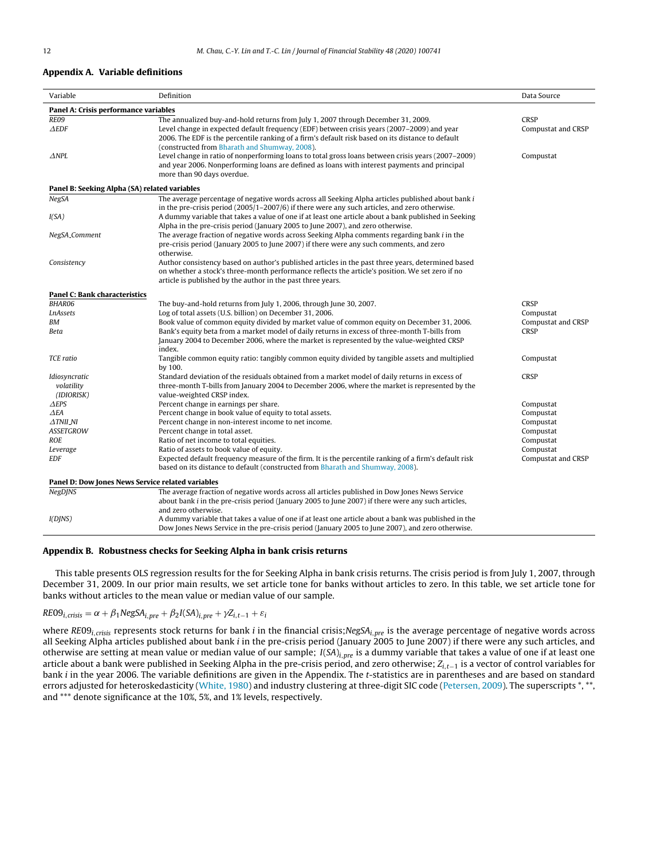#### <span id="page-11-0"></span>**Appendix A. Variable definitions**

| Variable                                          | Definition                                                                                            | Data Source        |  |
|---------------------------------------------------|-------------------------------------------------------------------------------------------------------|--------------------|--|
| Panel A: Crisis performance variables             |                                                                                                       |                    |  |
| RE09                                              | The annualized buy-and-hold returns from July 1, 2007 through December 31, 2009.                      | <b>CRSP</b>        |  |
| $\triangle EDF$                                   | Level change in expected default frequency (EDF) between crisis years (2007–2009) and year            | Compustat and CRSP |  |
|                                                   | 2006. The EDF is the percentile ranking of a firm's default risk based on its distance to default     |                    |  |
|                                                   | (constructed from Bharath and Shumway, 2008).                                                         |                    |  |
| $\triangle$ NPL                                   | Level change in ratio of nonperforming loans to total gross loans between crisis years (2007-2009)    | Compustat          |  |
|                                                   | and year 2006. Nonperforming loans are defined as loans with interest payments and principal          |                    |  |
|                                                   | more than 90 days overdue.                                                                            |                    |  |
| Panel B: Seeking Alpha (SA) related variables     |                                                                                                       |                    |  |
| <b>NegSA</b>                                      | The average percentage of negative words across all Seeking Alpha articles published about bank i     |                    |  |
|                                                   | in the pre-crisis period $(2005/1-2007/6)$ if there were any such articles, and zero otherwise.       |                    |  |
| I(SA)                                             | A dummy variable that takes a value of one if at least one article about a bank published in Seeking  |                    |  |
|                                                   | Alpha in the pre-crisis period (January 2005 to June 2007), and zero otherwise.                       |                    |  |
| NegSA_Comment                                     | The average fraction of negative words across Seeking Alpha comments regarding bank <i>i</i> in the   |                    |  |
|                                                   | pre-crisis period (January 2005 to June 2007) if there were any such comments, and zero               |                    |  |
|                                                   | otherwise.                                                                                            |                    |  |
| Consistency                                       | Author consistency based on author's published articles in the past three years, determined based     |                    |  |
|                                                   | on whether a stock's three-month performance reflects the article's position. We set zero if no       |                    |  |
|                                                   | article is published by the author in the past three years.                                           |                    |  |
| Panel C: Bank characteristics                     |                                                                                                       |                    |  |
| BHAR06                                            | The buy-and-hold returns from July 1, 2006, through June 30, 2007.                                    | CRSP               |  |
| <b>LnAssets</b>                                   | Log of total assets (U.S. billion) on December 31, 2006.                                              | Compustat          |  |
| BM                                                | Book value of common equity divided by market value of common equity on December 31, 2006.            | Compustat and CRSP |  |
| Beta                                              | Bank's equity beta from a market model of daily returns in excess of three-month T-bills from         | <b>CRSP</b>        |  |
|                                                   | January 2004 to December 2006, where the market is represented by the value-weighted CRSP             |                    |  |
|                                                   | index.                                                                                                |                    |  |
| <b>TCE</b> ratio                                  | Tangible common equity ratio: tangibly common equity divided by tangible assets and multiplied        | Compustat          |  |
|                                                   | by 100.                                                                                               |                    |  |
| Idiosyncratic                                     | Standard deviation of the residuals obtained from a market model of daily returns in excess of        | <b>CRSP</b>        |  |
| volatility                                        | three-month T-bills from January 2004 to December 2006, where the market is represented by the        |                    |  |
| (IDIORISK)                                        | value-weighted CRSP index.                                                                            |                    |  |
| $\Delta{EPS}$                                     | Percent change in earnings per share.                                                                 | Compustat          |  |
| ΔЕΑ                                               | Percent change in book value of equity to total assets.                                               | Compustat          |  |
| $\triangle$ TNII_NI                               | Percent change in non-interest income to net income.                                                  | Compustat          |  |
| <b>ASSETGROW</b>                                  | Percent change in total asset.                                                                        | Compustat          |  |
| <b>ROE</b>                                        | Ratio of net income to total equities.                                                                | Compustat          |  |
| Leverage                                          | Ratio of assets to book value of equity.                                                              | Compustat          |  |
| <b>EDF</b>                                        | Expected default frequency measure of the firm. It is the percentile ranking of a firm's default risk | Compustat and CRSP |  |
|                                                   | based on its distance to default (constructed from Bharath and Shumway, 2008).                        |                    |  |
| Panel D: Dow Jones News Service related variables |                                                                                                       |                    |  |
| <b>NegDJNS</b>                                    | The average fraction of negative words across all articles published in Dow Jones News Service        |                    |  |
|                                                   | about bank $i$ in the pre-crisis period (January 2005 to June 2007) if there were any such articles,  |                    |  |
|                                                   | and zero otherwise.                                                                                   |                    |  |
| I(DINS)                                           | A dummy variable that takes a value of one if at least one article about a bank was published in the  |                    |  |
|                                                   | Dow Jones News Service in the pre-crisis period (January 2005 to June 2007), and zero otherwise.      |                    |  |

## **Appendix B. Robustness checks for Seeking Alpha in bank crisis returns**

This table presents OLS regression results for the for Seeking Alpha in bank crisis returns. The crisis period is from July 1, 2007, through December 31, 2009. In our prior main results, we set article tone for banks without articles to zero. In this table, we set article tone for banks without articles to the mean value or median value of our sample.

## $RE09_{i,crisis} = \alpha + \beta_1 NegSA_{i,pre} + \beta_2 I(SA)_{i,pre} + \gamma Z_{i,t-1} + \varepsilon_i$

where RE09<sub>i,crisis</sub> represents stock returns for bank i in the financial crisis;NegSA<sub>i,pre</sub> is the average percentage of negative words across all Seeking Alpha articles published about bank *i* in the pre-crisis period (January 2005 to June 2007) if there were any such articles, and otherwise are setting at mean value or median value of our sample;  $I(SA)_{i,pre}$  is a dummy variable that takes a value of one if at least one article about a bank were published in Seeking Alpha in the pre-crisis period, and zero otherwise; Z<sub>i,t−1</sub> is a vector of control variables for bank i in the year 2006. The variable definitions are given in the Appendix. The t-statistics are in parentheses and are based on standard errors adjusted for heteroskedasticity [\(White,](#page-12-0) [1980\)](#page-12-0) and industry clustering at three-digit SIC code ([Petersen,](#page-12-0) [2009\).](#page-12-0) The superscripts \*,\*\*, and \*\*\* denote significance at the 10%, 5%, and 1% levels, respectively.